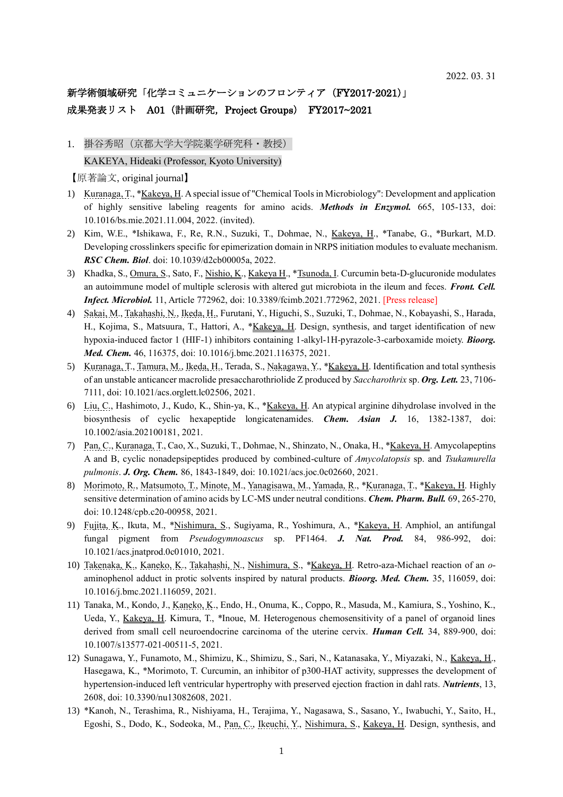## 新学術領域研究「化学コミュニケーションのフロンティア (FY2017-2021)」 成果発表リスト A01 (計画研究, Project Groups) FY2017~2021

1. 掛谷秀昭(京都大学大学院薬学研究科·教授) KAKEYA, Hideaki (Professor, Kyoto University)

【原著論文, original journal】

- 1) Kuranaga, T., \*Kakeya, H. A special issue of "Chemical Tools in Microbiology": Development and application of highly sensitive labeling reagents for amino acids. *Methods in Enzymol.* 665, 105-133, doi: 10.1016/bs.mie.2021.11.004, 2022. (invited).
- 2) Kim, W.E., \*Ishikawa, F., Re, R.N., Suzuki, T., Dohmae, N., *Kakeya*, H., \*Tanabe, G., \*Burkart, M.D. Developing crosslinkers specific for epimerization domain in NRPS initiation modules to evaluate mechanism. *RSC Chem. Biol*. doi: 10.1039/d2cb00005a, 2022.
- 3) Khadka, S., Omura, S., Sato, F., Nishio, K., Kakeya H., \*Tsunoda, I. Curcumin beta-D-glucuronide modulates an autoimmune model of multiple sclerosis with altered gut microbiota in the ileum and feces. *Front. Cell. Infect. Microbiol.* 11, Article 772962, doi: 10.3389/fcimb.2021.772962, 2021. [Press release]
- 4) Sakai, M., Takahashi, N., Ikeda, H., Furutani, Y., Higuchi, S., Suzuki, T., Dohmae, N., Kobayashi, S., Harada, H., Kojima, S., Matsuura, T., Hattori, A., \*Kakeya, H. Design, synthesis, and target identification of new hypoxia-induced factor 1 (HIF-1) inhibitors containing 1-alkyl-1H-pyrazole-3-carboxamide moiety. *Bioorg. Med. Chem.* 46, 116375, doi: 10.1016/j.bmc.2021.116375, 2021.
- 5) Kuranaga, T., Tamura, M., Ikeda, H., Terada, S., Nakagawa, Y., \*Kakeya, H. Identification and total synthesis of an unstable anticancer macrolide presaccharothriolide Z produced by *Saccharothrix* sp. *Org. Lett.* 23, 7106- 7111, doi: 10.1021/acs.orglett.lc02506, 2021.
- 6) Liu, C., Hashimoto, J., Kudo, K., Shin-ya, K., \*Kakeya, H. An atypical arginine dihydrolase involved in the biosynthesis of cyclic hexapeptide longicatenamides. *Chem. Asian J.* 16, 1382-1387, doi: 10.1002/asia.202100181, 2021.
- 7) Pan, C., Kuranaga, T., Cao, X., Suzuki, T., Dohmae, N., Shinzato, N., Onaka, H., \*Kakeya, H. Amycolapeptins A and B, cyclic nonadepsipeptides produced by combined-culture of *Amycolatopsis* sp. and *Tsukamurella pulmonis*. *J. Org. Chem.* 86, 1843-1849, doi: 10.1021/acs.joc.0c02660, 2021.
- 8) Morimoto, R., Matsumoto, T., Minote, M., Yanagisawa, M., Yamada, R., \*Kuranaga, T., \*Kakeya, H. Highly sensitive determination of amino acids by LC-MS under neutral conditions. *Chem. Pharm. Bull.* 69, 265-270, doi: 10.1248/cpb.c20-00958, 2021.
- 9) Fujita, K., Ikuta, M., \*Nishimura, S., Sugiyama, R., Yoshimura, A., \*Kakeya, H. Amphiol, an antifungal fungal pigment from *Pseudogymnoascus* sp. PF1464. *J. Nat. Prod.* 84, 986-992, doi: 10.1021/acs.jnatprod.0c01010, 2021.
- 10) Takenaka, K., Kaneko, K., Takahashi, N., Nishimura, S., \*Kakeya, H. Retro-aza-Michael reaction of an *o*aminophenol adduct in protic solvents inspired by natural products. *Bioorg. Med. Chem.* 35, 116059, doi: 10.1016/j.bmc.2021.116059, 2021.
- 11) Tanaka, M., Kondo, J., Kaneko, K., Endo, H., Onuma, K., Coppo, R., Masuda, M., Kamiura, S., Yoshino, K., Ueda, Y., Kakeya, H. Kimura, T., \*Inoue, M. Heterogenous chemosensitivity of a panel of organoid lines derived from small cell neuroendocrine carcinoma of the uterine cervix. *Human Cell.* 34, 889-900, doi: 10.1007/s13577-021-00511-5, 2021.
- 12) Sunagawa, Y., Funamoto, M., Shimizu, K., Shimizu, S., Sari, N., Katanasaka, Y., Miyazaki, N., Kakeya, H., Hasegawa, K., \*Morimoto, T. Curcumin, an inhibitor of p300-HAT activity, suppresses the development of hypertension-induced left ventricular hypertrophy with preserved ejection fraction in dahl rats. *Nutrients*, 13, 2608, doi: 10.3390/nu13082608, 2021.
- 13) \*Kanoh, N., Terashima, R., Nishiyama, H., Terajima, Y., Nagasawa, S., Sasano, Y., Iwabuchi, Y., Saito, H., Egoshi, S., Dodo, K., Sodeoka, M., Pan, C., Ikeuchi, Y., Nishimura, S., Kakeya, H. Design, synthesis, and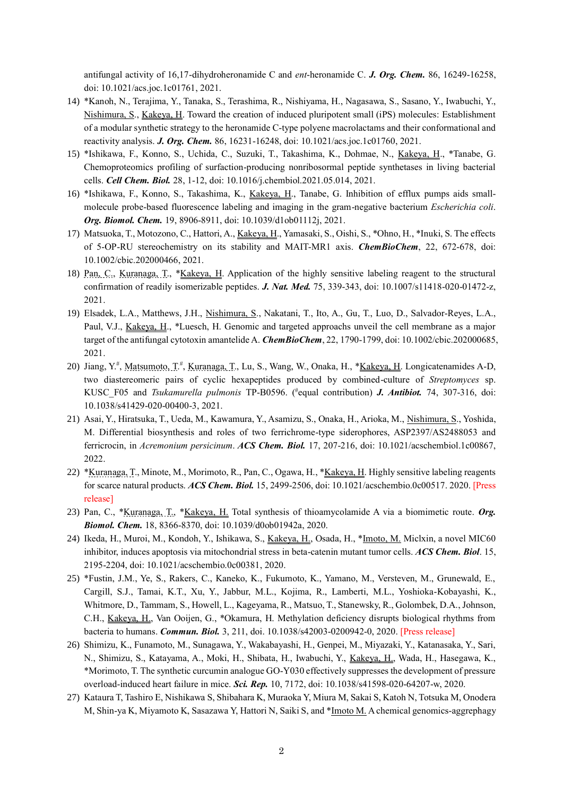antifungal activity of 16,17-dihydroheronamide C and *ent*-heronamide C. *J. Org. Chem.* 86, 16249-16258, doi: 10.1021/acs.joc.1c01761, 2021.

- 14) \*Kanoh, N., Terajima, Y., Tanaka, S., Terashima, R., Nishiyama, H., Nagasawa, S., Sasano, Y., Iwabuchi, Y., Nishimura, S., Kakeya, H. Toward the creation of induced pluripotent small (iPS) molecules: Establishment of a modular synthetic strategy to the heronamide C-type polyene macrolactams and their conformational and reactivity analysis. *J. Org. Chem.* 86, 16231-16248, doi: 10.1021/acs.joc.1c01760, 2021.
- 15) \*Ishikawa, F., Konno, S., Uchida, C., Suzuki, T., Takashima, K., Dohmae, N., Kakeya, H., \*Tanabe, G. Chemoproteomics profiling of surfaction-producing nonribosormal peptide synthetases in living bacterial cells. *Cell Chem. Biol.* 28, 1-12, doi: 10.1016/j.chembiol.2021.05.014, 2021.
- 16) \*Ishikawa, F., Konno, S., Takashima, K., Kakeya, H., Tanabe, G. Inhibition of efflux pumps aids smallmolecule probe-based fluorescence labeling and imaging in the gram-negative bacterium *Escherichia coli*. *Org. Biomol. Chem.* 19, 8906-8911, doi: 10.1039/d1ob01112j, 2021.
- 17) Matsuoka, T., Motozono, C., Hattori, A., Kakeya, H., Yamasaki, S., Oishi, S., \*Ohno, H., \*Inuki, S. The effects of 5-OP-RU stereochemistry on its stability and MAIT-MR1 axis. *ChemBioChem*, 22, 672-678, doi: 10.1002/cbic.202000466, 2021.
- 18) Pan, C., Kuranaga, T., \*Kakeya, H. Application of the highly sensitive labeling reagent to the structural confirmation of readily isomerizable peptides. *J. Nat. Med.* 75, 339-343, doi: 10.1007/s11418-020-01472-z, 2021.
- 19) Elsadek, L.A., Matthews, J.H., Nishimura, S., Nakatani, T., Ito, A., Gu, T., Luo, D., Salvador-Reyes, L.A., Paul, V.J., Kakeya, H., \*Luesch, H. Genomic and targeted approachs unveil the cell membrane as a major target of the antifungal cytotoxin amantelide A. *ChemBioChem*, 22, 1790-1799, doi: 10.1002/cbic.202000685, 2021.
- 20) Jiang, Y.<sup>#</sup>, Matsumoto, T.<sup>#</sup>, Kuranaga, T., Lu, S., Wang, W., Onaka, H., \***Kakeya, H. Longicatenamides A-D**, two diastereomeric pairs of cyclic hexapeptides produced by combined-culture of *Streptomyces* sp. KUSC\_F05 and *Tsukamurella pulmonis* TP-B0596. (# equal contribution) *J. Antibiot.* 74, 307-316, doi: 10.1038/s41429-020-00400-3, 2021.
- 21) Asai, Y., Hiratsuka, T., Ueda, M., Kawamura, Y., Asamizu, S., Onaka, H., Arioka, M., Nishimura, S., Yoshida, M. Differential biosynthesis and roles of two ferrichrome-type siderophores, ASP2397/AS2488053 and ferricrocin, in *Acremonium persicinum*. *ACS Chem. Biol.* 17, 207-216, doi: 10.1021/acschembiol.1c00867, 2022.
- 22) \*Kuranaga, T., Minote, M., Morimoto, R., Pan, C., Ogawa, H., \*Kakeya, H. Highly sensitive labeling reagents for scarce natural products. *ACS Chem. Biol.* 15, 2499-2506, doi: 10.1021/acschembio.0c00517. 2020. [Press release]
- 23) Pan, C., \*Kuranaga, T., \*Kakeya, H. Total synthesis of thioamycolamide A via a biomimetic route. *Org. Biomol. Chem.* 18, 8366-8370, doi: 10.1039/d0ob01942a, 2020.
- 24) Ikeda, H., Muroi, M., Kondoh, Y., Ishikawa, S., Kakeya, H., Osada, H., \*Imoto, M. Miclxin, a novel MIC60 inhibitor, induces apoptosis via mitochondrial stress in beta-catenin mutant tumor cells. *ACS Chem. Biol*. 15, 2195-2204, doi: 10.1021/acschembio.0c00381, 2020.
- 25) \*Fustin, J.M., Ye, S., Rakers, C., Kaneko, K., Fukumoto, K., Yamano, M., Versteven, M., Grunewald, E., Cargill, S.J., Tamai, K.T., Xu, Y., Jabbur, M.L., Kojima, R., Lamberti, M.L., Yoshioka-Kobayashi, K., Whitmore, D., Tammam, S., Howell, L., Kageyama, R., Matsuo, T., Stanewsky, R., Golombek, D.A., Johnson, C.H., Kakeya, H., Van Ooijen, G., \*Okamura, H. Methylation deficiency disrupts biological rhythms from bacteria to humans. *Commun. Biol.* 3, 211, doi. 10.1038/s42003-0200942-0, 2020. [Press release]
- 26) Shimizu, K., Funamoto, M., Sunagawa, Y., Wakabayashi, H., Genpei, M., Miyazaki, Y., Katanasaka, Y., Sari, N., Shimizu, S., Katayama, A., Moki, H., Shibata, H., Iwabuchi, Y., Kakeya, H., Wada, H., Hasegawa, K., \*Morimoto, T. The synthetic curcumin analogue GO-Y030 effectively suppresses the development of pressure overload-induced heart failure in mice. *Sci. Rep.* 10, 7172, doi: 10.1038/s41598-020-64207-w, 2020.
- 27) Kataura T, Tashiro E, Nishikawa S, Shibahara K, Muraoka Y, Miura M, Sakai S, Katoh N, Totsuka M, Onodera M, Shin-ya K, Miyamoto K, Sasazawa Y, Hattori N, Saiki S, and \*Imoto M. A chemical genomics-aggrephagy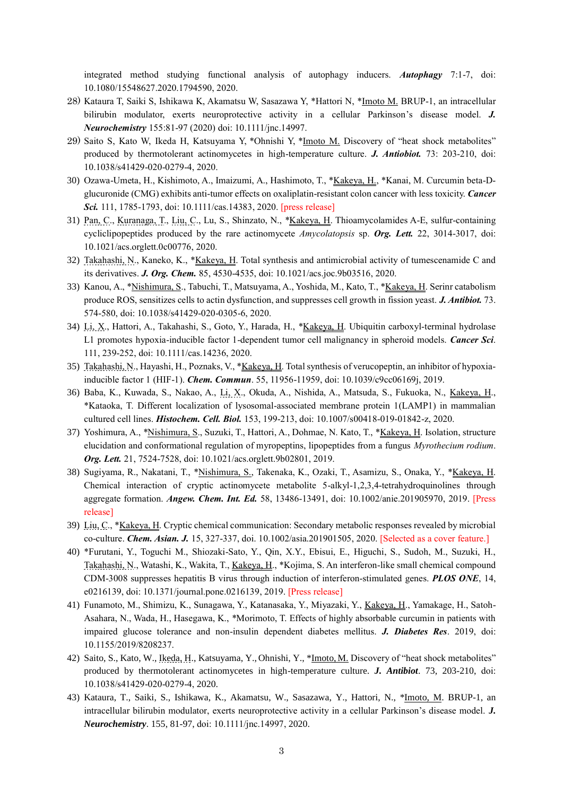integrated method studying functional analysis of autophagy inducers. *Autophagy* 7:1-7, doi: 10.1080/15548627.2020.1794590, 2020.

- 28) Kataura T, Saiki S, Ishikawa K, Akamatsu W, Sasazawa Y, \*Hattori N, \*Imoto M. BRUP-1, an intracellular bilirubin modulator, exerts neuroprotective activity in a cellular Parkinson's disease model. *J. Neurochemistry* 155:81-97 (2020) doi: 10.1111/jnc.14997.
- 29) Saito S, Kato W, Ikeda H, Katsuyama Y, \*Ohnishi Y, \*Imoto M. Discovery of "heat shock metabolites" produced by thermotolerant actinomycetes in high-temperature culture. *J. Antiobiot.* 73: 203-210, doi: 10.1038/s41429-020-0279-4, 2020.
- 30) Ozawa-Umeta, H., Kishimoto, A., Imaizumi, A., Hashimoto, T., \*Kakeya, H., \*Kanai, M. Curcumin beta-Dglucuronide (CMG) exhibits anti-tumor effects on oxaliplatin-resistant colon cancer with less toxicity. *Cancer Sci.* 111, 1785-1793, doi: 10.1111/cas.14383, 2020. [press release]
- 31) Pan, C., Kuranaga, T., Liu, C., Lu, S., Shinzato, N., \*Kakeya, H. Thioamycolamides A-E, sulfur-containing cycliclipopeptides produced by the rare actinomycete *Amycolatopsis* sp. *Org. Lett.* 22, 3014-3017, doi: 10.1021/acs.orglett.0c00776, 2020.
- 32) Takahashi, N., Kaneko, K., \*Kakeya, H. Total synthesis and antimicrobial activity of tumescenamide C and its derivatives. *J. Org. Chem.* 85, 4530-4535, doi: 10.1021/acs.joc.9b03516, 2020.
- 33) Kanou, A., \*Nishimura, S., Tabuchi, T., Matsuyama, A., Yoshida, M., Kato, T., \*Kakeya, H. Serinr catabolism produce ROS, sensitizes cells to actin dysfunction, and suppresses cell growth in fission yeast. *J. Antibiot.* 73. 574-580, doi: 10.1038/s41429-020-0305-6, 2020.
- 34) Li, X., Hattori, A., Takahashi, S., Goto, Y., Harada, H., \*Kakeya, H. Ubiquitin carboxyl-terminal hydrolase L1 promotes hypoxia-inducible factor 1-dependent tumor cell malignancy in spheroid models. *Cancer Sci*. 111, 239-252, doi: 10.1111/cas.14236, 2020.
- 35) Takahashi, N., Hayashi, H., Poznaks, V., \*Kakeya, H. Total synthesis of verucopeptin, an inhibitor of hypoxiainducible factor 1 (HIF-1). *Chem. Commun*. 55, 11956-11959, doi: 10.1039/c9cc06169j, 2019.
- 36) Baba, K., Kuwada, S., Nakao, A., Li, X., Okuda, A., Nishida, A., Matsuda, S., Fukuoka, N., Kakeya, H., \*Kataoka, T. Different localization of lysosomal-associated membrane protein 1(LAMP1) in mammalian cultured cell lines. *Histochem. Cell. Biol.* 153, 199-213, doi: 10.1007/s00418-019-01842-z, 2020.
- 37) Yoshimura, A., \*Nishimura, S., Suzuki, T., Hattori, A., Dohmae, N. Kato, T., \*Kakeya, H. Isolation, structure elucidation and conformational regulation of myropeptins, lipopeptides from a fungus *Myrothecium rodium*. *Org. Lett.* 21, 7524-7528, doi: 10.1021/acs.orglett.9b02801, 2019.
- 38) Sugiyama, R., Nakatani, T., \*Nishimura, S., Takenaka, K., Ozaki, T., Asamizu, S., Onaka, Y., \*Kakeya, H. Chemical interaction of cryptic actinomycete metabolite 5-alkyl-1,2,3,4-tetrahydroquinolines through aggregate formation. *Angew. Chem. Int. Ed.* 58, 13486-13491, doi: 10.1002/anie.201905970, 2019. [Press release]
- 39) Liu, C., \*Kakeya, H. Cryptic chemical communication: Secondary metabolic responses revealed by microbial co-culture. *Chem. Asian. J.* 15, 327-337, doi. 10.1002/asia.201901505, 2020. [Selected as a cover feature.]
- 40) \*Furutani, Y., Toguchi M., Shiozaki-Sato, Y., Qin, X.Y., Ebisui, E., Higuchi, S., Sudoh, M., Suzuki, H., Takahashi, N., Watashi, K., Wakita, T., Kakeya, H., \*Kojima, S. An interferon-like small chemical compound CDM-3008 suppresses hepatitis B virus through induction of interferon-stimulated genes. *PLOS ONE*, 14, e0216139, doi: 10.1371/journal.pone.0216139, 2019. [Press release]
- 41) Funamoto, M., Shimizu, K., Sunagawa, Y., Katanasaka, Y., Miyazaki, Y., Kakeya, H., Yamakage, H., Satoh-Asahara, N., Wada, H., Hasegawa, K., \*Morimoto, T. Effects of highly absorbable curcumin in patients with impaired glucose tolerance and non-insulin dependent diabetes mellitus. *J. Diabetes Res*. 2019, doi: 10.1155/2019/8208237.
- 42) Saito, S., Kato, W., Ikeda, H., Katsuyama, Y., Ohnishi, Y., \*Imoto, M. Discovery of "heat shock metabolites" produced by thermotolerant actinomycetes in high-temperature culture. *J. Antibiot*. 73, 203-210, doi: 10.1038/s41429-020-0279-4, 2020.
- 43) Kataura, T., Saiki, S., Ishikawa, K., Akamatsu, W., Sasazawa, Y., Hattori, N., \*Imoto, M. BRUP-1, an intracellular bilirubin modulator, exerts neuroprotective activity in a cellular Parkinson's disease model. *J. Neurochemistry*. 155, 81-97, doi: 10.1111/jnc.14997, 2020.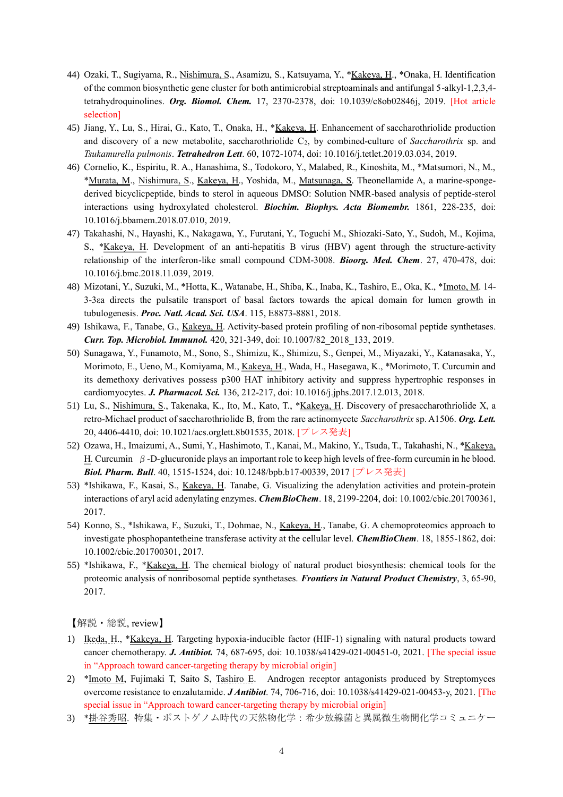- 44) Ozaki, T., Sugiyama, R., Nishimura, S., Asamizu, S., Katsuyama, Y., \*Kakeya, H., \*Onaka, H. Identification of the common biosynthetic gene cluster for both antimicrobial streptoaminals and antifungal 5-alkyl-1,2,3,4 tetrahydroquinolines. *Org. Biomol. Chem.* 17, 2370-2378, doi: 10.1039/c8ob02846j, 2019. [Hot article selection]
- 45) Jiang, Y., Lu, S., Hirai, G., Kato, T., Onaka, H., \*Kakeya, H. Enhancement of saccharothriolide production and discovery of a new metabolite, saccharothriolide C<sub>2</sub>, by combined-culture of *Saccharothrix* sp. and *Tsukamurella pulmonis*. *Tetrahedron Lett*. 60, 1072-1074, doi: 10.1016/j.tetlet.2019.03.034, 2019.
- 46) Cornelio, K., Espiritu, R. A., Hanashima, S., Todokoro, Y., Malabed, R., Kinoshita, M., \*Matsumori, N., M., \*Murata, M., Nishimura, S., Kakeya, H., Yoshida, M., Matsunaga, S. Theonellamide A, a marine-spongederived bicyclicpeptide, binds to sterol in aqueous DMSO: Solution NMR-based analysis of peptide-sterol interactions using hydroxylated cholesterol. *Biochim. Biophys. Acta Biomembr.* 1861, 228-235, doi: 10.1016/j.bbamem.2018.07.010, 2019.
- 47) Takahashi, N., Hayashi, K., Nakagawa, Y., Furutani, Y., Toguchi M., Shiozaki-Sato, Y., Sudoh, M., Kojima, S., \*Kakeya, H. Development of an anti-hepatitis B virus (HBV) agent through the structure-activity relationship of the interferon-like small compound CDM-3008. *Bioorg. Med. Chem*. 27, 470-478, doi: 10.1016/j.bmc.2018.11.039, 2019.
- 48) Mizotani, Y., Suzuki, M., \*Hotta, K., Watanabe, H., Shiba, K., Inaba, K., Tashiro, E., Oka, K., \*Imoto, M. 14- 3-3εa directs the pulsatile transport of basal factors towards the apical domain for lumen growth in tubulogenesis. *Proc. Natl. Acad. Sci. USA*. 115, E8873-8881, 2018.
- 49) Ishikawa, F., Tanabe, G., Kakeya, H. Activity-based protein profiling of non-ribosomal peptide synthetases. *Curr. Top. Microbiol. Immunol.* 420, 321-349, doi: 10.1007/82\_2018\_133, 2019.
- 50) Sunagawa, Y., Funamoto, M., Sono, S., Shimizu, K., Shimizu, S., Genpei, M., Miyazaki, Y., Katanasaka, Y., Morimoto, E., Ueno, M., Komiyama, M., Kakeya, H., Wada, H., Hasegawa, K., \*Morimoto, T. Curcumin and its demethoxy derivatives possess p300 HAT inhibitory activity and suppress hypertrophic responses in cardiomyocytes. *J. Pharmacol. Sci.* 136, 212-217, doi: 10.1016/j.jphs.2017.12.013, 2018.
- 51) Lu, S., Nishimura, S., Takenaka, K., Ito, M., Kato, T., \*Kakeya, H. Discovery of presaccharothriolide X, a retro-Michael product of saccharothriolide B, from the rare actinomycete *Saccharothrix* sp. A1506. *Org. Lett.* 20, 4406-4410, doi: 10.1021/acs.orglett.8b01535, 2018. [プレス発表]
- 52) Ozawa, H., Imaizumi, A., Sumi, Y., Hashimoto, T., Kanai, M., Makino, Y., Tsuda, T., Takahashi, N., \*Kakeya, H. Curcumin  $β$ -D-glucuronide plays an important role to keep high levels of free-form curcumin in he blood. *Biol. Pharm. Bull*. 40, 1515-1524, doi: 10.1248/bpb.b17-00339, 2017 [プレス発表]
- 53) \*Ishikawa, F., Kasai, S., Kakeya, H. Tanabe, G. Visualizing the adenylation activities and protein-protein interactions of aryl acid adenylating enzymes. *ChemBioChem*. 18, 2199-2204, doi: 10.1002/cbic.201700361, 2017.
- 54) Konno, S., \*Ishikawa, F., Suzuki, T., Dohmae, N., Kakeya, H., Tanabe, G. A chemoproteomics approach to investigate phosphopantetheine transferase activity at the cellular level. *ChemBioChem*. 18, 1855-1862, doi: 10.1002/cbic.201700301, 2017.
- 55) \*Ishikawa, F., \*Kakeya, H. The chemical biology of natural product biosynthesis: chemical tools for the proteomic analysis of nonribosomal peptide synthetases. *Frontiers in Natural Product Chemistry*, 3, 65-90, 2017.

【解説・総説, review】

- 1) Ikeda, H., \*Kakeya, H. Targeting hypoxia-inducible factor (HIF-1) signaling with natural products toward cancer chemotherapy. *J. Antibiot.* 74, 687-695, doi: 10.1038/s41429-021-00451-0, 2021. [The special issue in "Approach toward cancer-targeting therapy by microbial origin]
- 2) \*Imoto M, Fujimaki T, Saito S, Tashiro E. Androgen receptor antagonists produced by Streptomyces overcome resistance to enzalutamide. *J Antibiot*. 74, 706-716, doi: 10.1038/s41429-021-00453-y, 2021. [The special issue in "Approach toward cancer-targeting therapy by microbial origin]
- 3) \*掛谷秀昭. 特集・ポストゲノム時代の天然物化学:希少放線菌と異属微生物間化学コミュニケー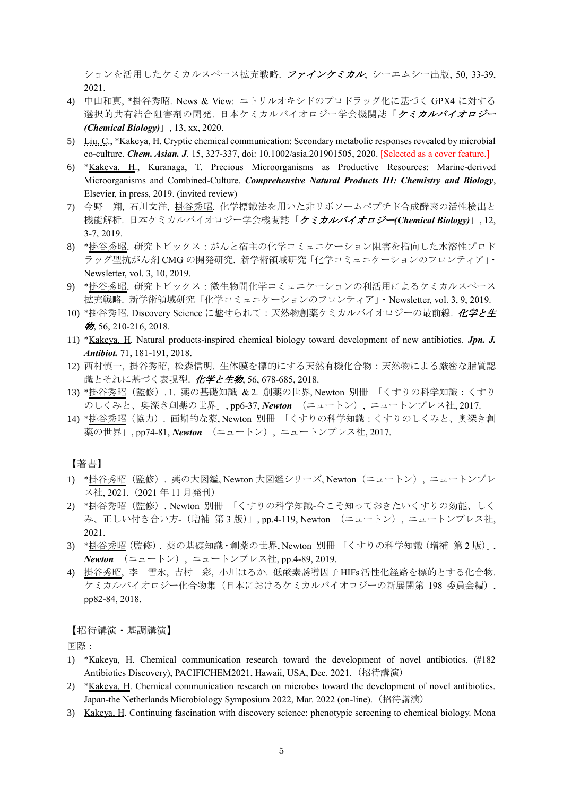ションを活用したケミカルスペース拡充戦略. ファインケミカル, シーエムシー出版, 50, 33-39, 2021.

- 4) 中山和真, \*掛谷秀昭. News & View: ニトリルオキシドのプロドラッグ化に基づく GPX4 に対する 選択的共有結合阻害剤の開発. 日本ケミカルバイオロジー学会機関誌「ケミカルバイオロジー *(Chemical Biology)*」, 13, xx, 2020.
- 5) Liu, C., \*Kakeya, H. Cryptic chemical communication: Secondary metabolic responses revealed by microbial co-culture. *Chem. Asian. J*. 15, 327-337, doi: 10.1002/asia.201901505, 2020. [Selected as a cover feature.]
- 6) \*Kakeya, H., Kuranaga, T. Precious Microorganisms as Productive Resources: Marine-derived Microorganisms and Combined-Culture. *Comprehensive Natural Products III: Chemistry and Biology*, Elsevier, in press, 2019. (invited review)
- 7) 今野 翔, 石川文洋, 掛谷秀昭. 化学標識法を用いた非リボソームペプチド合成酵素の活性検出と 機能解析. 日本ケミカルバイオロジー学会機関誌「ケミカルバイオロジー*(Chemical Biology)*」, 12, 3-7, 2019.
- 8) \*掛谷秀昭. 研究トピックス:がんと宿主の化学コミュニケーション阻害を指向した水溶性プロド ラッグ型抗がん剤 CMG の開発研究. 新学術領域研究「化学コミュニケーションのフロンティア」・ Newsletter, vol. 3, 10, 2019.
- 9) \*掛谷秀昭. 研究トピックス:微生物間化学コミュニケーションの利活用によるケミカルスペース 拡充戦略. 新学術領域研究「化学コミュニケーションのフロンティア」・Newsletter, vol. 3, 9, 2019.
- 10) \*掛谷秀昭. Discovery Science に魅せられて: 天然物創薬ケミカルバイオロジーの最前線. 化学と生 物, 56, 210-216, 2018.
- 11) \*Kakeya, H. Natural products-inspired chemical biology toward development of new antibiotics. *Jpn. J. Antibiot.* 71, 181-191, 2018.
- 12) 西村慎一, 掛谷秀昭, 松森信明. 生体膜を標的にする天然有機化合物:天然物による厳密な脂質認 識とそれに基づく表現型. 化学と生物, 56, 678-685, 2018.
- 13) \*掛谷秀昭(監修). 1. 薬の基礎知識 & 2. 創薬の世界, Newton 別冊 「くすりの科学知識:くすり のしくみと、奥深き創薬の世界」, pp6-37, *Newton* (ニュートン), ニュートンプレス社, 2017.
- 14) \*掛谷秀昭(協力). 画期的な薬, Newton 別冊 「くすりの科学知識:くすりのしくみと、奥深き創 薬の世界」, pp74-81, *Newton* (ニュートン), ニュートンプレス社, 2017.

【著書】

- 1) \*掛谷秀昭(監修). 薬の大図鑑, Newton 大図鑑シリーズ, Newton(ニュートン), ニュートンプレ ス社, 2021.(2021 年 11 月発刊)
- 2) \*掛谷秀昭(監修). Newton 別冊 「くすりの科学知識-今こそ知っておきたいくすりの効能、しく み、正しい付き合い方- (増補 第3版)」,pp.4-119, Newton (ニュートン), ニュートンプレス社, 2021.
- 3) \*掛谷秀昭(監修). 薬の基礎知識・創薬の世界, Newton 別冊 「くすりの科学知識(増補 第 2 版)」, *Newton* (ニュートン), ニュートンプレス社, pp.4-89, 2019.
- 4) 掛谷秀昭, 李 雪氷, 吉村 彩, 小川はるか. 低酸素誘導因子 HIFs 活性化経路を標的とする化合物. ケミカルバイオロジー化合物集(日本におけるケミカルバイオロジーの新展開第 198 委員会編), pp82-84, 2018.

【招待講演・基調講演】

国際:

- 1) \*Kakeya, H. Chemical communication research toward the development of novel antibiotics. (#182 Antibiotics Discovery), PACIFICHEM2021, Hawaii, USA, Dec. 2021. (招待講演)
- 2) \*Kakeya, H. Chemical communication research on microbes toward the development of novel antibiotics. Japan-the Netherlands Microbiology Symposium 2022, Mar. 2022 (on-line). (招待講演)
- 3) Kakeya, H. Continuing fascination with discovery science: phenotypic screening to chemical biology. Mona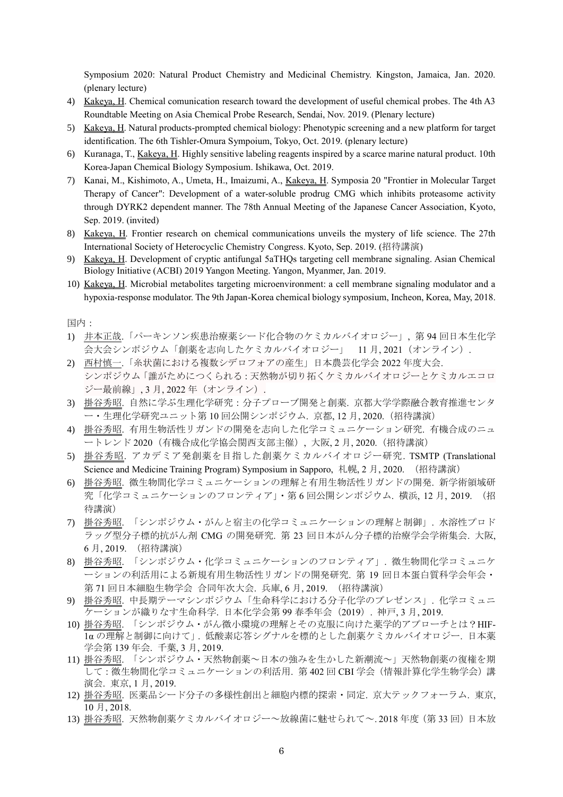Symposium 2020: Natural Product Chemistry and Medicinal Chemistry. Kingston, Jamaica, Jan. 2020. (plenary lecture)

- 4) Kakeya, H. Chemical comunication research toward the development of useful chemical probes. The 4th A3 Roundtable Meeting on Asia Chemical Probe Research, Sendai, Nov. 2019. (Plenary lecture)
- 5) Kakeya, H. Natural products-prompted chemical biology: Phenotypic screening and a new platform for target identification. The 6th Tishler-Omura Sympoium, Tokyo, Oct. 2019. (plenary lecture)
- 6) Kuranaga, T., Kakeya, H. Highly sensitive labeling reagents inspired by a scarce marine natural product. 10th Korea-Japan Chemical Biology Symposium. Ishikawa, Oct. 2019.
- 7) Kanai, M., Kishimoto, A., Umeta, H., Imaizumi, A., Kakeya, H. Symposia 20 "Frontier in Molecular Target Therapy of Cancer": Development of a water-soluble prodrug CMG which inhibits proteasome activity through DYRK2 dependent manner. The 78th Annual Meeting of the Japanese Cancer Association, Kyoto, Sep. 2019. (invited)
- 8) Kakeya, H. Frontier research on chemical communications unveils the mystery of life science. The 27th International Society of Heterocyclic Chemistry Congress. Kyoto, Sep. 2019. (招待講演)
- 9) Kakeya, H. Development of cryptic antifungal 5aTHQs targeting cell membrane signaling. Asian Chemical Biology Initiative (ACBI) 2019 Yangon Meeting. Yangon, Myanmer, Jan. 2019.
- 10) Kakeya, H. Microbial metabolites targeting microenvironment: a cell membrane signaling modulator and a hypoxia-response modulator. The 9th Japan-Korea chemical biology symposium, Incheon, Korea, May, 2018.

国内:

- 1) 井本正哉.「パーキンソン疾患治療薬シード化合物のケミカルバイオロジー」, 第 94 回日本生化学 会大会シンポジウム「創薬を志向したケミカルバイオロジー」 11月, 2021 (オンライン).
- 2) 西村慎一.「糸状菌における複数シデロフォアの産生」日本農芸化学会 2022 年度大会. シンポジウム「誰がためにつくられる:天然物が切り拓くケミカルバイオロジーとケミカルエコロ ジー最前線」, 3月, 2022年 (オンライン).
- 3) 掛谷秀昭. 自然に学ぶ生理化学研究:分子プローブ開発と創薬. 京都大学学際融合教育推進センタ ー・生理化学研究ユニット第 10 回公開シンポジウム. 京都, 12 月, 2020.(招待講演)
- 4) 掛谷秀昭. 有用生物活性リガンドの開発を志向した化学コミュニケーション研究. 有機合成のニュ ートレンド 2020(有機合成化学協会関西支部主催), 大阪, 2 月, 2020.(招待講演)
- 5) 掛谷秀昭. アカデミア発創薬を目指した創薬ケミカルバイオロジー研究. TSMTP (Translational Science and Medicine Training Program) Symposium in Sapporo, 札幌, 2 月, 2020. (招待講演)
- 6) 掛谷秀昭. 微生物間化学コミュニケーションの理解と有用生物活性リガンドの開発. 新学術領域研 究「化学コミュニケーションのフロンティア」・第 6 回公開シンポジウム. 横浜, 12 月, 2019. (招 待講演)
- 7) 掛谷秀昭. 「シンポジウム・がんと宿主の化学コミュニケーションの理解と制御」. 水溶性プロド ラッグ型分子標的抗がん剤 CMG の開発研究. 第 23 回日本がん分子標的治療学会学術集会. 大阪, 6 月, 2019. (招待講演)
- 8) 掛谷秀昭. 「シンポジウム・化学コミュニケーションのフロンティア」. 微生物間化学コミュニケ ーションの利活用による新規有用生物活性リガンドの開発研究. 第 19 回日本蛋白質科学会年会・ 第 71 回日本細胞生物学会 合同年次大会. 兵庫, 6 月, 2019. (招待講演)
- 9) 掛谷秀昭. 中長期テーマシンポジウム「生命科学における分子化学のプレゼンス」. 化学コミュニ ケーションが織りなす生命科学. 日本化学会第 99 春季年会(2019). 神戸, 3 月, 2019.
- 10) 掛谷秀昭. 「シンポジウム・がん微小環境の理解とその克服に向けた薬学的アプローチとは?HIF-1α の理解と制御に向けて」. 低酸素応答シグナルを標的とした創薬ケミカルバイオロジー. 日本薬 学会第 139 年会. 千葉, 3 月, 2019.
- 11) 掛谷秀昭. 「シンポジウム・天然物創薬~日本の強みを生かした新潮流~」天然物創薬の復権を期 して:微生物間化学コミュニケーションの利活用. 第 402 回 CBI 学会(情報計算化学生物学会)講 演会. 東京, 1 月, 2019.
- 12) 掛谷秀昭. 医薬品シード分子の多様性創出と細胞内標的探索・同定. 京大テックフォーラム. 東京, 10 月, 2018.
- 13) 掛谷秀昭. 天然物創薬ケミカルバイオロジー~放線菌に魅せられて~. 2018 年度(第 33 回)日本放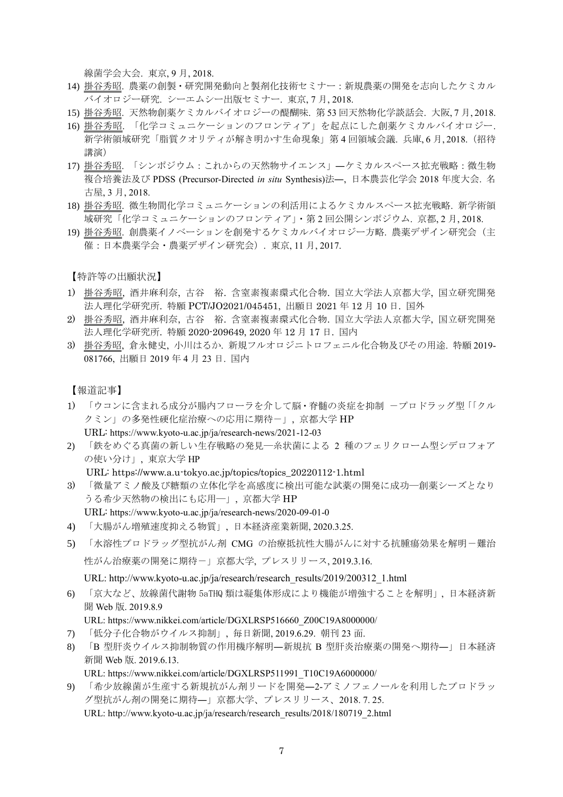線菌学会大会. 東京, 9 月, 2018.

- 14) 掛谷秀昭. 農薬の創製・研究開発動向と製剤化技術セミナー:新規農薬の開発を志向したケミカル バイオロジー研究. シーエムシー出版セミナー. 東京, 7 月, 2018.
- 15) 掛谷秀昭. 天然物創薬ケミカルバイオロジーの醍醐味. 第 53 回天然物化学談話会. 大阪, 7 月, 2018.
- 16) 掛谷秀昭. 「化学コミュニケーションのフロンティア」を起点にした創薬ケミカルバイオロジー. 新学術領域研究「脂質クオリティが解き明かす生命現象」第 4 回領域会議. 兵庫, 6 月, 2018.(招待 講演)
- 17) 掛谷秀昭. 「シンポジウム:これからの天然物サイエンス」―ケミカルスペース拡充戦略:微生物 複合培養法及び PDSS (Precursor-Directed *in situ* Synthesis)法―, 日本農芸化学会 2018 年度大会. 名 古屋, 3 月, 2018.
- 18) 掛谷秀昭. 微生物間化学コミュニケーションの利活用によるケミカルスペース拡充戦略. 新学術領 域研究「化学コミュニケーションのフロンティア」・第 2 回公開シンポジウム. 京都, 2 月, 2018.
- 19) 掛谷秀昭. 創農薬イノベーションを創発するケミカルバイオロジー方略. 農薬デザイン研究会(主 催:日本農薬学会・農薬デザイン研究会). 東京, 11 月, 2017.

【特許等の出願状況】

- 1) 掛谷秀昭, 酒井麻利奈, 古谷 裕. 含窒素複素環式化合物. 国立大学法人京都大学, 国立研究開発 法人理化学研究所. 特願 PCT/JO2021/045451, 出願日 2021 年 12 月 10 日. 国外
- 2) 掛谷秀昭, 酒井麻利奈, 古谷 裕. 含窒素複素環式化合物. 国立大学法人京都大学, 国立研究開発 法人理化学研究所. 特願 2020-209649, 2020 年 12 月 17 日. 国内
- 3) 掛谷秀昭, 倉永健史, 小川はるか. 新規フルオロジニトロフェニル化合物及びその用途. 特願 2019- 081766, 出願日 2019 年 4 月 23 日. 国内

【報道記事】

- 1) 「ウコンに含まれる成分が腸内フローラを介して脳・脊髄の炎症を抑制 ープロドラッグ型「「クル クミン」の多発性硬化症治療への応用に期待ー」, 京都大学 HP URL: https://www.kyoto-u.ac.jp/ja/research-news/2021-12-03
- 2) 「鉄をめぐる真菌の新しい生存戦略の発見―糸状菌による 2 種のフェリクローム型シデロフォア の使い分け」, 東京大学 HP

URL: https://www.a.u-tokyo.ac.jp/topics/topics\_20220112-1.html

- 3) 「微量アミノ酸及び糖類の立体化学を高感度に検出可能な試薬の開発に成功―創薬シーズとなり うる希少天然物の検出にも応用―」, 京都大学 HP
- URL: https://www.kyoto-u.ac.jp/ja/research-news/2020-09-01-0
- 4) 「大腸がん増殖速度抑える物質」, 日本経済産業新聞, 2020.3.25.
- 5) 「水溶性プロドラッグ型抗がん剤 CMG の治療抵抗性大腸がんに対する抗腫瘍効果を解明-難治 性がん治療薬の開発に期待-」京都大学, プレスリリース, 2019.3.16.

URL: http://www.kyoto-u.ac.jp/ja/research/research\_results/2019/200312\_1.html

6) 「京大など、放線菌代謝物 5aTHQ 類は凝集体形成により機能が増強することを解明」, 日本経済新 聞 Web 版. 2019.8.9

URL: https://www.nikkei.com/article/DGXLRSP516660\_Z00C19A8000000/

- 7) 「低分子化合物がウイルス抑制」, 毎日新聞, 2019.6.29. 朝刊 23 面.
- 8) 「B 型肝炎ウイルス抑制物質の作用機序解明―新規抗 B 型肝炎治療薬の開発へ期待―」日本経済 新聞 Web 版. 2019.6.13. URL: https://www.nikkei.com/article/DGXLRSP511991\_T10C19A6000000/
- 9) 「希少放線菌が生産する新規抗がん剤リードを開発―2-アミノフェノールを利用したプロドラッ グ型抗がん剤の開発に期待―」京都大学、プレスリリース、2018. 7. 25. URL: http://www.kyoto-u.ac.jp/ja/research/research\_results/2018/180719\_2.html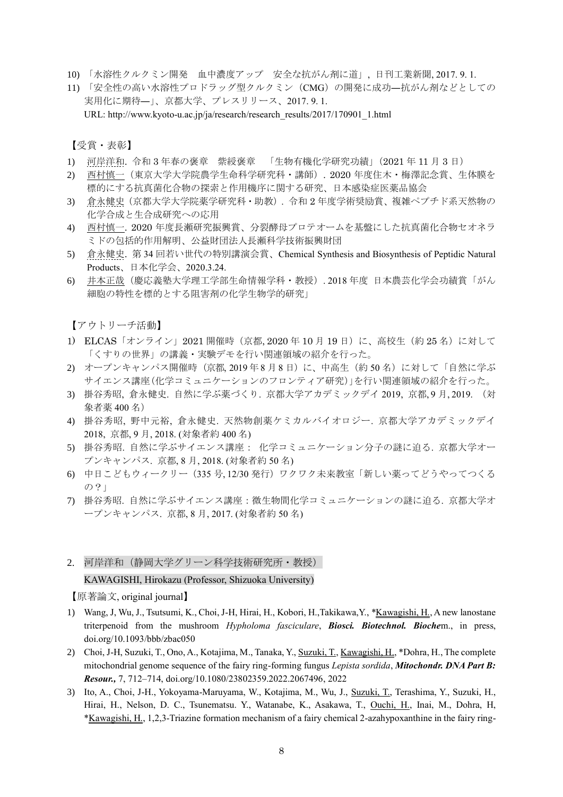- 10) 「水溶性クルクミン開発 血中濃度アップ 安全な抗がん剤に道」, 日刊工業新聞, 2017. 9. 1.
- 11) 「安全性の高い水溶性プロドラッグ型クルクミン(CMG)の開発に成功―抗がん剤などとしての 実用化に期待―」、京都大学、プレスリリース、2017. 9. 1.

URL: http://www.kyoto-u.ac.jp/ja/research/research\_results/2017/170901\_1.html

【受賞・表彰】

- 1) 河岸洋和. 令和 3 年春の褒章 紫綬褒章 「生物有機化学研究功績」(2021 年 11 月 3 日)
- 2) 西村慎一(東京大学大学院農学生命科学研究科・講師). 2020 年度住木・梅澤記念賞、生体膜を 標的にする抗真菌化合物の探索と作用機序に関する研究、日本感染症医薬品協会
- 3) 倉永健史(京都大学大学院薬学研究科・助教). 令和 2 年度学術奨励賞、複雑ペプチド系天然物の 化学合成と生合成研究への応用
- 4) 西村慎一. 2020 年度長瀬研究振興賞、分裂酵母プロテオームを基盤にした抗真菌化合物セオネラ ミドの包括的作用解明、公益財団法人長瀬科学技術振興財団
- 5) 倉永健史. 第 34 回若い世代の特別講演会賞、Chemical Synthesis and Biosynthesis of Peptidic Natural Products、日本化学会、2020.3.24.
- 6) 井本正哉(慶応義塾大学理工学部生命情報学科・教授). 2018 年度 日本農芸化学会功績賞「がん 細胞の特性を標的とする阻害剤の化学生物学的研究」

【アウトリーチ活動】

- 1) ELCAS「オンライン」2021 開催時(京都, 2020 年 10 月 19 日)に、高校生(約 25 名)に対して 「くすりの世界」の講義・実験デモを行い関連領域の紹介を行った。
- 2) オープンキャンパス開催時 (京都, 2019年8月8日)に、中高生(約50名)に対して「自然に学ぶ サイエンス講座(化学コミュニケーションのフロンティア研究)」を行い関連領域の紹介を行った。
- 3) 掛谷秀昭, 倉永健史. 自然に学ぶ薬づくり. 京都大学アカデミックデイ 2019, 京都, 9 月, 2019. (対 象者薬 400 名)
- 4) 掛谷秀昭, 野中元裕, 倉永健史. 天然物創薬ケミカルバイオロジー. 京都大学アカデミックデイ 2018, 京都, 9 月, 2018. (対象者約 400 名)
- 5) 掛谷秀昭. 自然に学ぶサイエンス講座: 化学コミュニケーション分子の謎に迫る. 京都大学オー プンキャンパス. 京都, 8 月, 2018. (対象者約 50 名)
- 6) 中日こどもウィークリー(335 号, 12/30 発行)ワクワク未来教室「新しい薬ってどうやってつくる の?」
- 7) 掛谷秀昭. 自然に学ぶサイエンス講座:微生物間化学コミュニケーションの謎に迫る. 京都大学オ ープンキャンパス. 京都, 8 月, 2017. (対象者約 50 名)
- 2. 河岸洋和(静岡大学グリーン科学技術研究所・教授)

KAWAGISHI, Hirokazu (Professor, Shizuoka University)

【原著論文, original journal】

- 1) Wang, J, Wu, J., Tsutsumi, K., Choi, J-H, Hirai, H., Kobori, H.,Takikawa,Y., \*Kawagishi, H., A new lanostane triterpenoid from the mushroom *Hypholoma fasciculare*, *Biosci. Biotechnol. Bioche*m., in press, doi.org/10.1093/bbb/zbac050
- 2) Choi, J-H, Suzuki, T., Ono, A., Kotajima, M., Tanaka, Y., Suzuki, T., Kawagishi, H., \*Dohra, H., The complete mitochondrial genome sequence of the fairy ring-forming fungus *Lepista sordida*, *Mitochondr. DNA Part B: Resour.,* 7, 712–714, doi.org/10.1080/23802359.2022.2067496, 2022
- 3) Ito, A., Choi, J-H., Yokoyama-Maruyama, W., Kotajima, M., Wu, J., Suzuki, T., Terashima, Y., Suzuki, H., Hirai, H., Nelson, D. C., Tsunematsu. Y., Watanabe, K., Asakawa, T., Ouchi, H., Inai, M., Dohra, H, \*Kawagishi, H., 1,2,3-Triazine formation mechanism of a fairy chemical 2-azahypoxanthine in the fairy ring-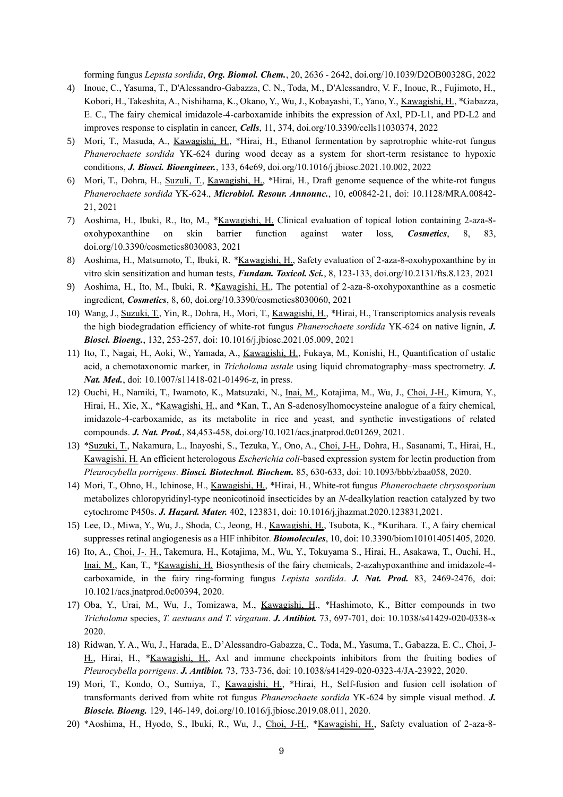forming fungus *Lepista sordida*, *Org. Biomol. Chem.*, 20, 2636 - 2642, doi.org/10.1039/D2OB00328G, 2022

- 4) Inoue, C., Yasuma, T., D'Alessandro-Gabazza, C. N., Toda, M., D'Alessandro, V. F., Inoue, R., Fujimoto, H., Kobori, H., Takeshita, A., Nishihama, K., Okano, Y., Wu, J., Kobayashi, T., Yano, Y., Kawagishi, H., \*Gabazza, E. C., The fairy chemical imidazole-4-carboxamide inhibits the expression of Axl, PD-L1, and PD-L2 and improves response to cisplatin in cancer, *Cells*, 11, 374, doi.org/10.3390/cells11030374, 2022
- 5) Mori, T., Masuda, A., Kawagishi, H., \*Hirai, H., Ethanol fermentation by saprotrophic white-rot fungus *Phanerochaete sordida* YK-624 during wood decay as a system for short-term resistance to hypoxic conditions, *J. Biosci. Bioengineer.*, 133, 64e69, doi.org/10.1016/j.jbiosc.2021.10.002, 2022
- 6) Mori, T., Dohra, H., Suzuli, T., Kawagishi, H., \*Hirai, H., Draft genome sequence of the white-rot fungus *Phanerochaete sordida* YK-624., *Microbiol. Resour. Announc.*, 10, e00842-21, doi: 10.1128/MRA.00842- 21, 2021
- 7) Aoshima, H., Ibuki, R., Ito, M., \*Kawagishi, H. Clinical evaluation of topical lotion containing 2-aza-8 oxohypoxanthine on skin barrier function against water loss, *Cosmetics*, 8, 83, doi.org/10.3390/cosmetics8030083, 2021
- 8) Aoshima, H., Matsumoto, T., Ibuki, R. \*<u>Kawagishi, H.</u>, Safety evaluation of 2-aza-8-oxohypoxanthine by in vitro skin sensitization and human tests, *Fundam. Toxicol. Sci.*, 8, 123-133, doi.org/10.2131/fts.8.123, 2021
- 9) Aoshima, H., Ito, M., Ibuki, R. \*Kawagishi, H., The potential of 2-aza-8-oxohypoxanthine as a cosmetic ingredient, *Cosmetics*, 8, 60, doi.org/10.3390/cosmetics8030060, 2021
- 10) Wang, J., Suzuki, T., Yin, R., Dohra, H., Mori, T., Kawagishi, H., \*Hirai, H., Transcriptomics analysis reveals the high biodegradation efficiency of white-rot fungus *Phanerochaete sordida* YK-624 on native lignin, *J. Biosci. Bioeng.*, 132, 253-257, doi: 10.1016/j.jbiosc.2021.05.009, 2021
- 11) Ito, T., Nagai, H., Aoki, W., Yamada, A., Kawagishi, H., Fukaya, M., Konishi, H., Quantification of ustalic acid, a chemotaxonomic marker, in *Tricholoma ustale* using liquid chromatography–mass spectrometry. *J. Nat. Med.*, doi: 10.1007/s11418-021-01496-z, in press.
- 12) Ouchi, H., Namiki, T., Iwamoto, K., Matsuzaki, N., Inai, M., Kotajima, M., Wu, J., Choi, J-H., Kimura, Y., Hirai, H., Xie, X., \*Kawagishi, H., and \*Kan, T., An S-adenosylhomocysteine analogue of a fairy chemical, imidazole-4-carboxamide, as its metabolite in rice and yeast, and synthetic investigations of related compounds. *J. Nat. Prod.*, 84,453-458, doi.org/10.1021/acs.jnatprod.0c01269, 2021.
- 13) \*Suzuki, T., Nakamura, L., Inayoshi, S., Tezuka, Y., Ono, A., Choi, J-H., Dohra, H., Sasanami, T., Hirai, H., Kawagishi, H. An efficient heterologous *Escherichia coli*-based expression system for lectin production from *Pleurocybella porrigens*. *Biosci. Biotechnol. Biochem.* 85, 630-633, doi: 10.1093/bbb/zbaa058, 2020.
- 14) Mori, T., Ohno, H., Ichinose, H., Kawagishi, H., \*Hirai, H., White-rot fungus *Phanerochaete chrysosporium* metabolizes chloropyridinyl-type neonicotinoid insecticides by an *N*-dealkylation reaction catalyzed by two cytochrome P450s. *J. Hazard. Mater.* 402, 123831, doi: 10.1016/j.jhazmat.2020.123831,2021.
- 15) Lee, D., Miwa, Y., Wu, J., Shoda, C., Jeong, H., Kawagishi, H., Tsubota, K., \*Kurihara. T., A fairy chemical suppresses retinal angiogenesis as a HIF inhibitor. *Biomolecules*, 10, doi: 10.3390/biom101014051405, 2020.
- 16) Ito, A., Choi, J-. H., Takemura, H., Kotajima, M., Wu, Y., Tokuyama S., Hirai, H., Asakawa, T., Ouchi, H., Inai, M., Kan, T., \*Kawagishi, H. Biosynthesis of the fairy chemicals, 2-azahypoxanthine and imidazole-4 carboxamide, in the fairy ring-forming fungus *Lepista sordida*. *J. Nat. Prod.* 83, 2469-2476, doi: 10.1021/acs.jnatprod.0c00394, 2020.
- 17) Oba, Y., Urai, M., Wu, J., Tomizawa, M., Kawagishi, H., \*Hashimoto, K., Bitter compounds in two *Tricholoma* species, *T. aestuans and T. virgatum*. *J. Antibiot.* 73, 697-701, doi: 10.1038/s41429-020-0338-x 2020.
- 18) Ridwan, Y. A., Wu, J., Harada, E., D'Alessandro-Gabazza, C., Toda, M., Yasuma, T., Gabazza, E. C., Choi, J-H., Hirai, H., \*Kawagishi, H., Axl and immune checkpoints inhibitors from the fruiting bodies of *Pleurocybella porrigens*. *J. Antibiot.* 73, 733-736, doi: 10.1038/s41429-020-0323-4/JA-23922, 2020.
- 19) Mori, T., Kondo, O., Sumiya, T., Kawagishi, H., \*Hirai, H., Self-fusion and fusion cell isolation of transformants derived from white rot fungus *Phanerochaete sordida* YK-624 by simple visual method. *J. Bioscie. Bioeng.* 129, 146-149, doi.org/10.1016/j.jbiosc.2019.08.011, 2020.
- 20) \*Aoshima, H., Hyodo, S., Ibuki, R., Wu, J., Choi, J-H., \*Kawagishi, H., Safety evaluation of 2-aza-8-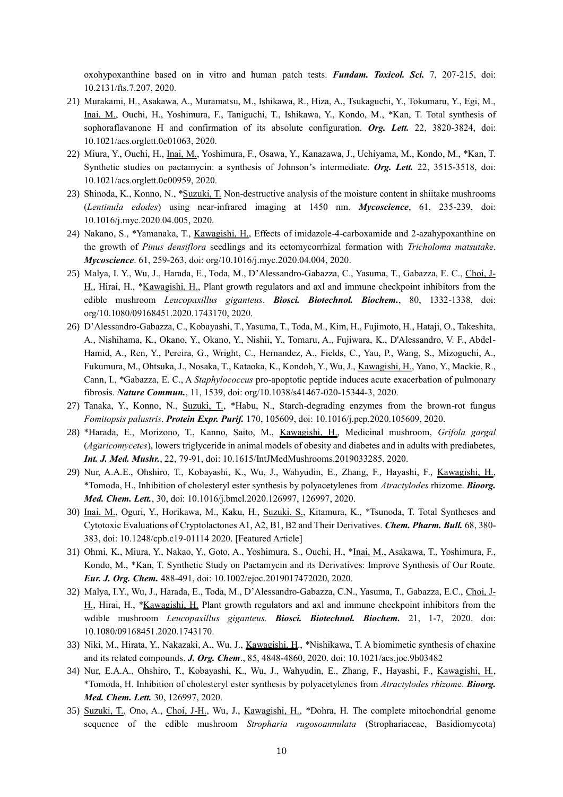oxohypoxanthine based on in vitro and human patch tests. *Fundam. Toxicol. Sci.* 7, 207-215, doi: 10.2131/fts.7.207, 2020.

- 21) Murakami, H., Asakawa, A., Muramatsu, M., Ishikawa, R., Hiza, A., Tsukaguchi, Y., Tokumaru, Y., Egi, M., Inai, M., Ouchi, H., Yoshimura, F., Taniguchi, T., Ishikawa, Y., Kondo, M., \*Kan, T. Total synthesis of sophoraflavanone H and confirmation of its absolute configuration. *Org. Lett.* 22, 3820-3824, doi: 10.1021/acs.orglett.0c01063, 2020.
- 22) Miura, Y., Ouchi, H., Inai, M., Yoshimura, F., Osawa, Y., Kanazawa, J., Uchiyama, M., Kondo, M., \*Kan, T. Synthetic studies on pactamycin: a synthesis of Johnson's intermediate. *Org. Lett.* 22, 3515-3518, doi: 10.1021/acs.orglett.0c00959, 2020.
- 23) Shinoda, K., Konno, N., \*Suzuki, T. Non-destructive analysis of the moisture content in shiitake mushrooms (*Lentinula edodes*) using near-infrared imaging at 1450 nm. *Mycoscience*, 61, 235-239, doi: 10.1016/j.myc.2020.04.005, 2020.
- 24) Nakano, S., \*Yamanaka, T., Kawagishi, H., Effects of imidazole-4-carboxamide and 2-azahypoxanthine on the growth of *Pinus densiflora* seedlings and its ectomycorrhizal formation with *Tricholoma matsutake*. *Mycoscience*. 61, 259-263, doi: org/10.1016/j.myc.2020.04.004, 2020.
- 25) Malya, I. Y., Wu, J., Harada, E., Toda, M., D'Alessandro-Gabazza, C., Yasuma, T., Gabazza, E. C., Choi, J-H., Hirai, H., \*Kawagishi, H., Plant growth regulators and axl and immune checkpoint inhibitors from the edible mushroom *Leucopaxillus giganteus*. *Biosci. Biotechnol. Biochem.*, 80, 1332-1338, doi: org/10.1080/09168451.2020.1743170, 2020.
- 26) D'Alessandro-Gabazza, C., Kobayashi, T., Yasuma, T., Toda, M., Kim, H., Fujimoto, H., Hataji, O., Takeshita, A., Nishihama, K., Okano, Y., Okano, Y., Nishii, Y., Tomaru, A., Fujiwara, K., D'Alessandro, V. F., Abdel-Hamid, A., Ren, Y., Pereira, G., Wright, C., Hernandez, A., Fields, C., Yau, P., Wang, S., Mizoguchi, A., Fukumura, M., Ohtsuka, J., Nosaka, T., Kataoka, K., Kondoh, Y., Wu, J., Kawagishi, H., Yano, Y., Mackie, R., Cann, I., \*Gabazza, E. C., A *Staphylococcus* pro-apoptotic peptide induces acute exacerbation of pulmonary fibrosis. *Nature Commun.*, 11, 1539, doi: org/10.1038/s41467-020-15344-3, 2020.
- 27) Tanaka, Y., Konno, N., Suzuki, T., \*Habu, N., Starch-degrading enzymes from the brown-rot fungus *Fomitopsis palustris*. *Protein Expr. Purif.* 170, 105609, doi: 10.1016/j.pep.2020.105609, 2020.
- 28) \*Harada, E., Morizono, T., Kanno, Saito, M., Kawagishi, H., Medicinal mushroom, *Grifola gargal* (*Agaricomycetes*), lowers triglyceride in animal models of obesity and diabetes and in adults with prediabetes, *Int. J. Med. Mushr.*, 22, 79-91, doi: 10.1615/IntJMedMushrooms.2019033285, 2020.
- 29) Nur, A.A.E., Ohshiro, T., Kobayashi, K., Wu, J., Wahyudin, E., Zhang, F., Hayashi, F., Kawagishi, H., \*Tomoda, H., Inhibition of cholesteryl ester synthesis by polyacetylenes from *Atractylodes* rhizome. *Bioorg. Med. Chem. Lett.*, 30, doi: 10.1016/j.bmcl.2020.126997, 126997, 2020.
- 30) Inai, M., Oguri, Y., Horikawa, M., Kaku, H., Suzuki, S., Kitamura, K., \*Tsunoda, T. Total Syntheses and Cytotoxic Evaluations of Cryptolactones A1, A2, B1, B2 and Their Derivatives. *Chem. Pharm. Bull.* 68, 380- 383, doi: 10.1248/cpb.c19-01114 2020. [Featured Article]
- 31) Ohmi, K., Miura, Y., Nakao, Y., Goto, A., Yoshimura, S., Ouchi, H., \*Inai, M., Asakawa, T., Yoshimura, F., Kondo, M., \*Kan, T. Synthetic Study on Pactamycin and its Derivatives: Improve Synthesis of Our Route. *Eur. J. Org. Chem.* 488-491, doi: 10.1002/ejoc.2019017472020, 2020.
- 32) Malya, I.Y., Wu, J., Harada, E., Toda, M., D'Alessandro-Gabazza, C.N., Yasuma, T., Gabazza, E.C., Choi, J-H., Hirai, H., \*Kawagishi, H. Plant growth regulators and axl and immune checkpoint inhibitors from the wdible mushroom *Leucopaxillus giganteus. Biosci. Biotechnol. Biochem.* 21, 1-7, 2020. doi: 10.1080/09168451.2020.1743170.
- 33) Niki, M., Hirata, Y., Nakazaki, A., Wu, J., Kawagishi, H., \*Nishikawa, T. A biomimetic synthesis of chaxine and its related compounds. *J. Org. Chem*., 85, 4848-4860, 2020. doi: 10.1021/acs.joc.9b03482
- 34) Nur, E.A.A., Ohshiro, T., Kobayashi, K., Wu, J., Wahyudin, E., Zhang, F., Hayashi, F., Kawagishi, H., \*Tomoda, H. Inhibition of cholesteryl ester synthesis by polyacetylenes from *Atractylodes rhizom*e. *Bioorg. Med. Chem. Lett.* 30, 126997, 2020.
- 35) Suzuki, T., Ono, A., Choi, J-H., Wu, J., Kawagishi, H., \*Dohra, H. The complete mitochondrial genome sequence of the edible mushroom *Stropharia rugosoannulata* (Strophariaceae, Basidiomycota)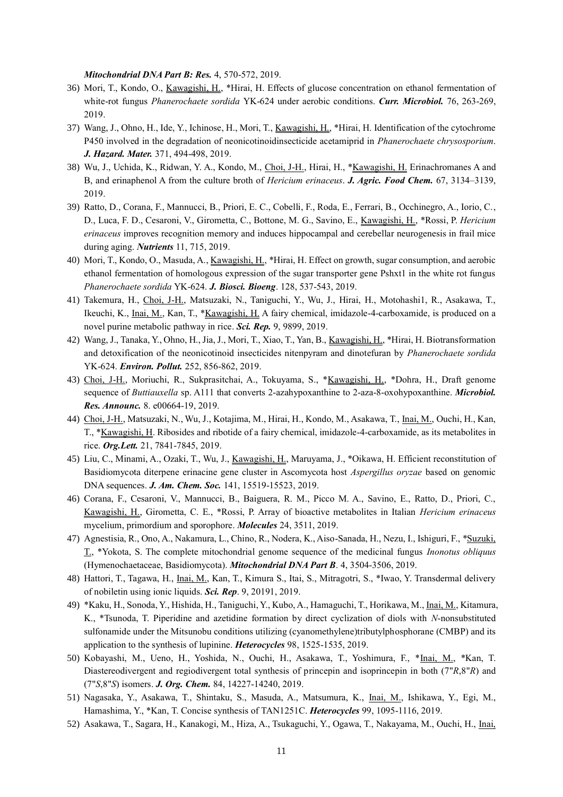*Mitochondrial DNA Part B: Res.* 4, 570-572, 2019.

- 36) Mori, T., Kondo, O., Kawagishi, H., \*Hirai, H. Effects of glucose concentration on ethanol fermentation of white-rot fungus *Phanerochaete sordida* YK-624 under aerobic conditions. *Curr. Microbiol.* 76, 263-269, 2019.
- 37) Wang, J., Ohno, H., Ide, Y., Ichinose, H., Mori, T., Kawagishi, H., \*Hirai, H. Identification of the cytochrome P450 involved in the degradation of neonicotinoidinsecticide acetamiprid in *Phanerochaete chrysosporium*. *J. Hazard. Mater.* 371, 494-498, 2019.
- 38) Wu, J., Uchida, K., Ridwan, Y. A., Kondo, M., Choi, J-H., Hirai, H., \*Kawagishi, H. Erinachromanes A and B, and erinaphenol A from the culture broth of *Hericium erinaceus*. *J. Agric. Food Chem.* 67, 3134–3139, 2019.
- 39) Ratto, D., Corana, F., Mannucci, B., Priori, E. C., Cobelli, F., Roda, E., Ferrari, B., Occhinegro, A., Iorio, C., D., Luca, F. D., Cesaroni, V., Girometta, C., Bottone, M. G., Savino, E., Kawagishi, H., \*Rossi, P. *Hericium erinaceus* improves recognition memory and induces hippocampal and cerebellar neurogenesis in frail mice during aging. *Nutrients* 11, 715, 2019.
- 40) Mori, T., Kondo, O., Masuda, A., Kawagishi, H., \*Hirai, H. Effect on growth, sugar consumption, and aerobic ethanol fermentation of homologous expression of the sugar transporter gene Pshxt1 in the white rot fungus *Phanerochaete sordida* YK-624. *J. Biosci. Bioeng*. 128, 537-543, 2019.
- 41) Takemura, H., Choi, J-H., Matsuzaki, N., Taniguchi, Y., Wu, J., Hirai, H., Motohashi1, R., Asakawa, T., Ikeuchi, K., Inai, M., Kan, T., \*Kawagishi, H. A fairy chemical, imidazole-4-carboxamide, is produced on a novel purine metabolic pathway in rice. *Sci. Rep.* 9, 9899, 2019.
- 42) Wang, J., Tanaka, Y., Ohno, H., Jia, J., Mori, T., Xiao, T., Yan, B., Kawagishi, H., \*Hirai, H. Biotransformation and detoxification of the neonicotinoid insecticides nitenpyram and dinotefuran by *Phanerochaete sordida* YK-624. *Environ. Pollut.* 252, 856-862, 2019.
- 43) Choi, J-H., Moriuchi, R., Sukprasitchai, A., Tokuyama, S., \*Kawagishi, H., \*Dohra, H., Draft genome sequence of *Buttiauxella* sp. A111 that converts 2-azahypoxanthine to 2-aza-8-oxohypoxanthine. *Microbiol. Res. Announc.* 8. e00664-19, 2019.
- 44) Choi, J-H., Matsuzaki, N., Wu, J., Kotajima, M., Hirai, H., Kondo, M., Asakawa, T., Inai, M., Ouchi, H., Kan, T., \*Kawagishi, H. Ribosides and ribotide of a fairy chemical, imidazole-4-carboxamide, as its metabolites in rice. *Org.Lett.* 21, 7841-7845, 2019.
- 45) Liu, C., Minami, A., Ozaki, T., Wu, J., Kawagishi, H., Maruyama, J., \*Oikawa, H. Efficient reconstitution of Basidiomycota diterpene erinacine gene cluster in Ascomycota host *Aspergillus oryzae* based on genomic DNA sequences. *J. Am. Chem. Soc.* 141, 15519-15523, 2019.
- 46) Corana, F., Cesaroni, V., Mannucci, B., Baiguera, R. M., Picco M. A., Savino, E., Ratto, D., Priori, C., Kawagishi, H., Girometta, C. E., \*Rossi, P. Array of bioactive metabolites in Italian *Hericium erinaceus*  mycelium, primordium and sporophore. *Molecules* 24, 3511, 2019.
- 47) Agnestisia, R., Ono, A., Nakamura, L., Chino, R., Nodera, K., Aiso-Sanada, H., Nezu, I., Ishiguri, F., \*Suzuki, T., \*Yokota, S. The complete mitochondrial genome sequence of the medicinal fungus *Inonotus obliquus* (Hymenochaetaceae, Basidiomycota). *Mitochondrial DNA Part B*. 4, 3504-3506, 2019.
- 48) Hattori, T., Tagawa, H., Inai, M., Kan, T., Kimura S., Itai, S., Mitragotri, S., \*Iwao, Y. Transdermal delivery of nobiletin using ionic liquids. *Sci. Rep*. 9, 20191, 2019.
- 49) \*Kaku, H., Sonoda, Y., Hishida, H., Taniguchi, Y., Kubo, A., Hamaguchi, T., Horikawa, M., Inai, M., Kitamura, K., \*Tsunoda, T. Piperidine and azetidine formation by direct cyclization of diols with *N*-nonsubstituted sulfonamide under the Mitsunobu conditions utilizing (cyanomethylene)tributylphosphorane (CMBP) and its application to the synthesis of lupinine. *Heterocycles* 98, 1525-1535, 2019.
- 50) Kobayashi, M., Ueno, H., Yoshida, N., Ouchi, H., Asakawa, T., Yoshimura, F., \*Inai, M., \*Kan, T. Diastereodivergent and regiodivergent total synthesis of princepin and isoprincepin in both (7"*R*,8"*R*) and (7"*S*,8"*S*) isomers. *J. Org. Chem.* 84, 14227-14240, 2019.
- 51) Nagasaka, Y., Asakawa, T., Shintaku, S., Masuda, A., Matsumura, K., Inai, M., Ishikawa, Y., Egi, M., Hamashima, Y., \*Kan, T. Concise synthesis of TAN1251C. *Heterocycles* 99, 1095-1116, 2019.
- 52) Asakawa, T., Sagara, H., Kanakogi, M., Hiza, A., Tsukaguchi, Y., Ogawa, T., Nakayama, M., Ouchi, H., Inai,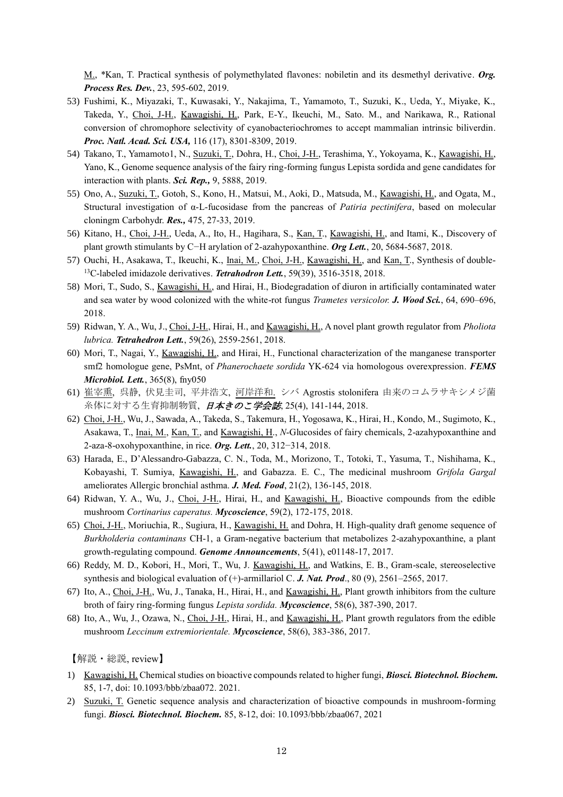M., \*Kan, T. Practical synthesis of polymethylated flavones: nobiletin and its desmethyl derivative. *Org. Process Res. Dev.*, 23, 595-602, 2019.

- 53) Fushimi, K., Miyazaki, T., Kuwasaki, Y., Nakajima, T., Yamamoto, T., Suzuki, K., Ueda, Y., Miyake, K., Takeda, Y., Choi, J-H., Kawagishi, H., Park, E-Y., Ikeuchi, M., Sato. M., and Narikawa, R., Rational conversion of chromophore selectivity of cyanobacteriochromes to accept mammalian intrinsic biliverdin. *Proc. Natl. Acad. Sci. USA,* 116 (17), 8301-8309, 2019.
- 54) Takano, T., Yamamoto1, N., Suzuki, T., Dohra, H., Choi, J-H., Terashima, Y., Yokoyama, K., Kawagishi, H., Yano, K., Genome sequence analysis of the fairy ring-forming fungus Lepista sordida and gene candidates for interaction with plants. *Sci. Rep.,* 9, 5888, 2019.
- 55) Ono, A., Suzuki, T., Gotoh, S., Kono, H., Matsui, M., Aoki, D., Matsuda, M., Kawagishi, H., and Ogata, M., Structural investigation of α-L-fucosidase from the pancreas of *Patiria pectinifera*, based on molecular cloningm Carbohydr. *Res.,* 475, 27-33, 2019.
- 56) Kitano, H., Choi, J-H., Ueda, A., Ito, H., Hagihara, S., Kan, T., Kawagishi, H., and Itami, K., Discovery of plant growth stimulants by C−H arylation of 2‑azahypoxanthine. *Org Lett.*, 20, 5684-5687, 2018.
- 57) Ouchi, H., Asakawa, T., Ikeuchi, K., Inai, M., Choi, J-H., Kawagishi, H., and Kan, T., Synthesis of double-<sup>13</sup>C-labeled imidazole derivatives. *Tetrahodron Lett.*, 59(39), 3516-3518, 2018.
- 58) Mori, T., Sudo, S., Kawagishi, H., and Hirai, H., Biodegradation of diuron in artificially contaminated water and sea water by wood colonized with the white-rot fungus *Trametes versicolor. J. Wood Sci.*, 64, 690–696, 2018.
- 59) Ridwan, Y. A., Wu, J., Choi, J-H., Hirai, H., and Kawagishi, H., A novel plant growth regulator from *Pholiota lubrica. Tetrahedron Lett.*, 59(26), 2559-2561, 2018.
- 60) Mori, T., Nagai, Y., Kawagishi, H., and Hirai, H., Functional characterization of the manganese transporter smf2 homologue gene, PsMnt, of *Phanerochaete sordida* YK-624 via homologous overexpression. *FEMS Microbiol. Lett.*, 365(8), fny050
- 61) 崔宰熏, 呉静, 伏見圭司, 平井浩文, 河岸洋和. シバ Agrostis stolonifera 由来のコムラサキシメジ菌 糸体に対する生育抑制物質, 日本きのこ学会誌, 25(4), 141-144, 2018.
- 62) Choi, J-H., Wu, J., Sawada, A., Takeda, S., Takemura, H., Yogosawa, K., Hirai, H., Kondo, M., Sugimoto, K., Asakawa, T., Inai, M., Kan, T., and Kawagishi, H., *N*-Glucosides of fairy chemicals, 2-azahypoxanthine and 2-aza-8-oxohypoxanthine, in rice. *Org. Lett.*, 20, 312−314, 2018.
- 63) Harada, E., D'Alessandro-Gabazza, C. N., Toda, M., Morizono, T., Totoki, T., Yasuma, T., Nishihama, K., Kobayashi, T. Sumiya, Kawagishi, H., and Gabazza. E. C., The medicinal mushroom *Grifola Gargal*  ameliorates Allergic bronchial asthma. *J. Med. Food*, 21(2), 136-145, 2018.
- 64) Ridwan, Y. A., Wu, J., Choi, J-H., Hirai, H., and Kawagishi, H., Bioactive compounds from the edible mushroom *Cortinarius caperatus. Mycoscience*, 59(2), 172-175, 2018.
- 65) Choi, J-H., Moriuchia, R., Sugiura, H., Kawagishi, H. and Dohra, H. High-quality draft genome sequence of *Burkholderia contaminans* CH-1, a Gram-negative bacterium that metabolizes 2-azahypoxanthine, a plant growth-regulating compound. *Genome Announcements*, 5(41), e01148-17, 2017.
- 66) Reddy, M. D., Kobori, H., Mori, T., Wu, J. Kawagishi, H., and Watkins, E. B., Gram-scale, stereoselective synthesis and biological evaluation of (+)-armillariol C. *J. Nat. Prod*., 80 (9), 2561–2565, 2017.
- 67) Ito, A., Choi, J-H., Wu, J., Tanaka, H., Hirai, H., and Kawagishi, H., Plant growth inhibitors from the culture broth of fairy ring-forming fungus *Lepista sordida. Mycoscience*, 58(6), 387-390, 2017.
- 68) Ito, A., Wu, J., Ozawa, N., Choi, J-H., Hirai, H., and Kawagishi, H., Plant growth regulators from the edible mushroom *Leccinum extremiorientale. Mycoscience*, 58(6), 383-386, 2017.

【解説・総説, review】

- 1) Kawagishi, H. Chemical studies on bioactive compounds related to higher fungi, *Biosci. Biotechnol. Biochem.* 85, 1-7, doi: 10.1093/bbb/zbaa072. 2021.
- 2) Suzuki, T. Genetic sequence analysis and characterization of bioactive compounds in mushroom-forming fungi. *Biosci. Biotechnol. Biochem.* 85, 8-12, doi: 10.1093/bbb/zbaa067, 2021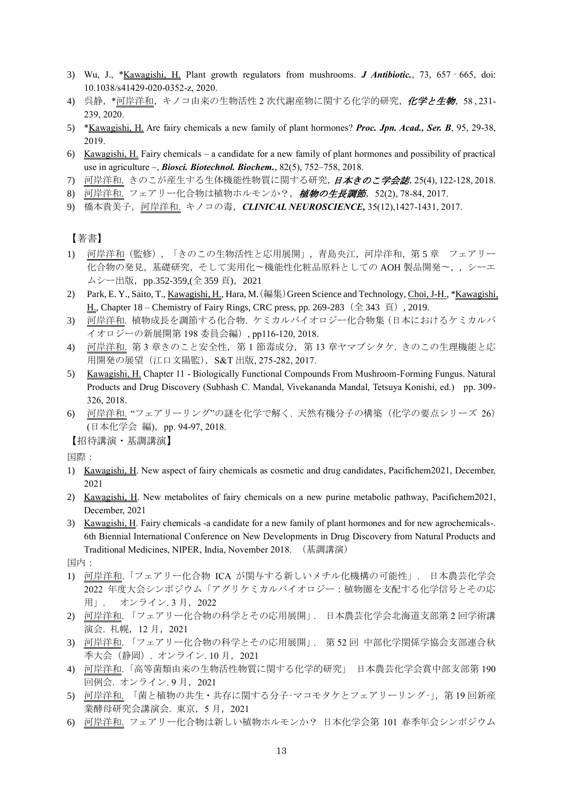- 3) Wu, J., \*Kawagishi, H. Plant growth regulators from mushrooms. *J Antibiotic.*, 73, 657 665, doi: 10.1038/s41429-020-0352-z, 2020.
- 4) 呉静, \*河岸洋和,キノコ由来の生物活性 2 次代謝産物に関する化学的研究, 化学と生物, 58, 231-239, 2020.
- 5) \*Kawagishi, H. Are fairy chemicals a new family of plant hormones? *Proc. Jpn. Acad., Ser. B*, 95, 29-38, 2019.
- 6) Kawagishi, H. Fairy chemicals a candidate for a new family of plant hormones and possibility of practical use in agriculture –, *Biosci. Biotechnol. Biochem.*, 82(5), 752–758, 2018.
- 7) 河岸洋和. きのこが産生する生体機能性物質に関する研究, 日本きのこ学会誌, 25(4), 122-128, 2018.
- 8) 河岸洋和. フェアリー化合物は植物ホルモンか?, 植物の生長調節, 52(2), 78-84, 2017.
- 9) 橋本貴美子,河岸洋和. キノコの毒,*CLINICAL NEUROSCIENCE,* 35(12),1427-1431, 2017.

【著書】

- 1) 河岸洋和(監修),「きのこの生物活性と応用展開」,青島央江,河岸洋和,第 5 章 フェアリー 化合物の発見,基礎研究,そして実用化〜機能性化粧品原料としての AOH 製品開発〜,,シーエ ムシー出版, pp.352-359,(全 359 頁), 2021
- 2) Park, E. Y., Saito, T., Kawagishi, H., Hara, M. (編集) Green Science and Technology, Choi, J-H., \*Kawagishi, H., Chapter 18 – Chemistry of Fairy Rings, CRC press, pp. 269-283 (全 343 頁), 2019.
- 3) 河岸洋和. 植物成長を調節する化合物. ケミカルバイオロジー化合物集(日本におけるケミカルバ イオロジーの新展開第 198 委員会編), pp116-120, 2018.
- 4) 河岸洋和. 第 3 章きのこと安全性,第 1 節毒成分,第 13 章ヤマブシタケ. きのこの生理機能と応 用開発の展望 (江口文陽監), S&T 出版, 275-282, 2017.
- 5) Kawagishi, H. Chapter 11 Biologically Functional Compounds From Mushroom-Forming Fungus. Natural Products and Drug Discovery (Subhash C. Mandal, Vivekananda Mandal, Tetsuya Konishi, ed.) pp. 309- 326, 2018.
- 6) 河岸洋和. "フェアリーリング"の謎を化学で解く. 天然有機分子の構築(化学の要点シリーズ 26) (日本化学会 編),pp. 94-97, 2018.

【招待講演・基調講演】

国際:

- 1) Kawagishi, H. New aspect of fairy chemicals as cosmetic and drug candidates, Pacifichem2021, December, 2021
- 2) Kawagishi, H. New metabolites of fairy chemicals on a new purine metabolic pathway, Pacifichem2021, December, 2021
- 3) Kawagishi, H. Fairy chemicals -a candidate for a new family of plant hormones and for new agrochemicals-. 6th Biennial International Conference on New Developments in Drug Discovery from Natural Products and Traditional Medicines, NIPER, India, November 2018. (基調講演)

国内:

- 1) 河岸洋和.「フェアリー化合物 ICA が関与する新しいメチル化機構の可能性」. 日本農芸化学会 2022 年度大会シンポジウム「アグリケミカルバイオロジー:植物圏を支配する化学信号とその応 用」. オンライン.3月,2022
- 2) 河岸洋和. 「フェアリー化合物の科学とその応用展開」. 日本農芸化学会北海道支部第 2 回学術講 演会. 札幌,12 月,2021
- 3) 河岸洋和. 「フェアリー化合物の科学とその応用展開」. 第 52 回 中部化学関係学協会支部連合秋 季大会(静岡). オンライン. 10 月, 2021
- 4) 河岸洋和.「高等菌類由来の生物活性物質に関する化学的研究」 日本農芸化学会賞中部支部第 190 回例会. オンライン.9月, 2021
- 5) 河岸洋和. 「菌と植物の共生・共存に関する分子-マコモタケとフェアリーリング-」,第19回新産 業酵母研究会講演会. 東京,5 月,2021
- 6) 河岸洋和. フェアリー化合物は新しい植物ホルモンか? 日本化学会第 101 春季年会シンポジウム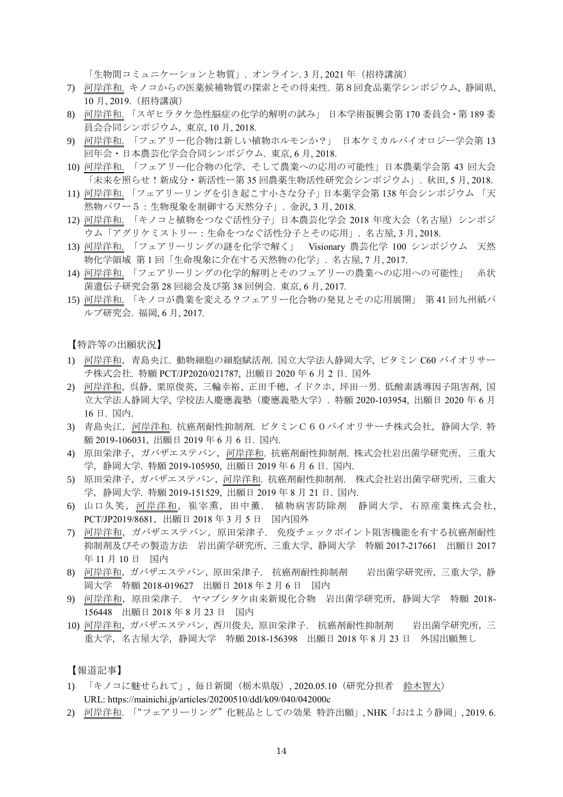「生物間コミュニケーションと物質」. オンライン.3月,2021年 (招待講演)

- 7) 河岸洋和. キノコからの医薬候補物質の探索とその将来性. 第8回食品薬学シンポジウム, 静岡県, 10 月, 2019.(招待講演)
- 8) 河岸洋和. 「スギヒラタケ急性脳症の化学的解明の試み」 日本学術振興会第 170 委員会・第 189 委 員会合同シンポジウム, 東京, 10 月, 2018.
- 9) 河岸洋和. 「フェアリー化合物は新しい植物ホルモンか?」 日本ケミカルバイオロジー学会第 13 回年会・日本農芸化学会合同シンポジウム. 東京, 6 月, 2018.
- 10) 河岸洋和. 「フェアリー化合物の化学,そして農業への応用の可能性」日本農薬学会第 43 回大会 「未来を照らせ!新成分・新活性ー第 35 回農薬生物活性研究会シンポジウム」. 秋田, 5 月, 2018.
- 11) 河岸洋和. 「フェアリーリングを引き起こす小さな分子」日本薬学会第 138 年会シンポジウム 「天 然物パワー5:生物現象を制御する天然分子」. 金沢, 3 月, 2018.
- 12) 河岸洋和. 「キノコと植物をつなぐ活性分子」日本農芸化学会 2018 年度大会(名古屋)シンポジ ウム「アグリケミストリー:生命をつなぐ活性分子とその応用」. 名古屋, 3 月, 2018.
- 13) 河岸洋和. 「フェアリーリングの謎を化学で解く」 Visionary 農芸化学 100 シンポジウム 天然 物化学領域 第 1 回「生命現象に介在する天然物の化学」. 名古屋, 7 月, 2017.
- 14) 河岸洋和. 「フェアリーリングの化学的解明とそのフェアリーの農業への応用への可能性」 糸状 菌遺伝子研究会第 28 回総会及び第 38 回例会. 東京, 6 月, 2017.
- 15) 河岸洋和. 「キノコが農業を変える?フェアリー化合物の発見とその応用展開」 第 41 回九州紙パ ルプ研究会. 福岡, 6 月, 2017.

【特許等の出願状況】

- 1) 河岸洋和,青島央江. 動物細胞の細胞賦活剤. 国立大学法人静岡大学, ビタミン C60 バイオリサー チ株式会社. 特願 PCT/JP2020/021787, 出願日 2020 年 6 月 2 日. 国外
- 2) 河岸洋和,呉静,栗原俊英,三輪幸裕、正田千穂,イドクホ,坪田一男. 低酸素誘導因子阻害剤, 国 立大学法人静岡大学, 学校法人慶應義塾(慶應義塾大学). 特願 2020-103954, 出願日 2020 年 6 月 16 日. 国内.
- 3) 青島央江,河岸洋和. 抗癌剤耐性抑制剤. ビタミンC60バイオリサーチ株式会社,静岡大学. 特 願 2019-106031, 出願日 2019 年 6 月 6 日. 国内.
- 4) 原田栄津子,ガバザエステバン,河岸洋和. 抗癌剤耐性抑制剤. 株式会社岩出菌学研究所,三重大 学,静岡大学. 特願 2019-105950, 出願日 2019 年 6 月 6 日. 国内.
- 5) 原田栄津子,ガバザエステバン,河岸洋和. 抗癌剤耐性抑制剤. 株式会社岩出菌学研究所,三重大 学,静岡大学. 特願 2019-151529, 出願日 2019 年 8 月 21 日. 国内.
- 6) 山口久笑,河岸洋和,崔宰熏,田中薫. 植物病害防除剤 静岡大学,石原産業株式会社, PCT/JP2019/8681,出願日 2018 年 3 月 5 日 国内国外
- 7) 河岸洋和,ガバザエステバン,原田栄津子. 免疫チェックポイント阻害機能を有する抗癌剤耐性 抑制剤及びその製造方法 岩出菌学研究所,三重大学,静岡大学 特願 2017-217661 出願日 2017 年 11 月 10 日 国内
- 8) 河岸洋和,ガバザエステバン,原田栄津子. 抗癌剤耐性抑制剤 岩出菌学研究所,三重大学,静 岡大学 特願 2018-019627 出願日 2018 年 2 月 6 日 国内
- 9) 河岸洋和,原田栄津子. ヤマブシタケ由来新規化合物 岩出菌学研究所,静岡大学 特願 2018- 156448 出願日 2018 年 8 月 23 日 国内
- 10) 河岸洋和, ガバザエステバン, 西川俊夫, 原田栄津子. 抗癌剤耐性抑制剤 岩出菌学研究所, 三 重大学,名古屋大学,静岡大学 特願 2018-156398 出願日 2018 年 8 月 23 日 外国出願無し

【報道記事】

- 1) 「キノコに魅せられて」, 毎日新聞(栃木県版), 2020.05.10(研究分担者 鈴木智大) URL: https://mainichi.jp/articles/20200510/ddl/k09/040/042000c
- 2) 河岸洋和. 「"フェアリーリング"化粧品としての効果 特許出願」, NHK「おはよう静岡」, 2019. 6.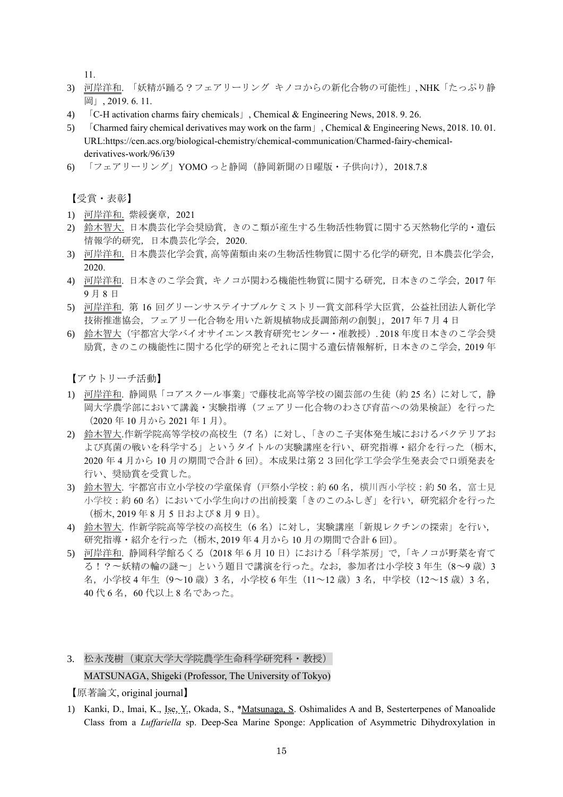11.

- 3) 河岸洋和. 「妖精が踊る?フェアリーリング キノコからの新化合物の可能性」, NHK「たっぷり静 岡」, 2019. 6. 11.
- 4) 「C-H activation charms fairy chemicals」, Chemical & Engineering News, 2018. 9. 26.
- 5) 「Charmed fairy chemical derivatives may work on the farm」, Chemical & Engineering News, 2018. 10. 01. URL:https://cen.acs.org/biological-chemistry/chemical-communication/Charmed-fairy-chemicalderivatives-work/96/i39
- 6) 「フェアリーリング」YOMO っと静岡(静岡新聞の日曜版・子供向け),2018.7.8

【受賞・表彰】

- 1) 河岸洋和. 紫綬褒章,2021
- 2) 鈴木智大. 日本農芸化学会奨励賞,きのこ類が産生する生物活性物質に関する天然物化学的・遺伝 情報学的研究,日本農芸化学会,2020.
- 3) 河岸洋和. 日本農芸化学会賞,高等菌類由来の生物活性物質に関する化学的研究,日本農芸化学会, 2020.
- 4) 河岸洋和. 日本きのこ学会賞,キノコが関わる機能性物質に関する研究,日本きのこ学会,2017 年 9 月 8 日
- 5) 河岸洋和. 第 16 回グリーンサステイナブルケミストリー賞文部科学大臣賞,公益社団法人新化学 技術推進協会,フェアリー化合物を用いた新規植物成長調節剤の創製」,2017 年 7 月 4 日
- 6) 鈴木智大(宇都宮大学バイオサイエンス教育研究センター・准教授). 2018 年度日本きのこ学会奨 励賞,きのこの機能性に関する化学的研究とそれに関する遺伝情報解析,日本きのこ学会,2019 年

【アウトリーチ活動】

- 1) 河岸洋和. 静岡県「コアスクール事業」で藤枝北高等学校の園芸部の生徒(約25名)に対して、静 岡大学農学部において講義・実験指導(フェアリー化合物のわさび育苗への効果検証)を行った (2020 年 10 月から 2021 年 1 月)。
- 2) 鈴木智大.作新学院高等学校の高校生(7名)に対し、「きのこ子実体発生域におけるバクテリアお よび真菌の戦いを科学する」というタイトルの実験講座を行い、研究指導・紹介を行った(栃木, 2020 年 4 月から 10 月の期間で合計 6 回)。本成果は第23回化学工学会学生発表会で口頭発表を 行い、奨励賞を受賞した。
- 3) 鈴木智大. 宇都宮市立小学校の学童保育(戸祭小学校:約 60 名,横川西小学校:約 50 名,富士見 小学校:約60名)において小学生向けの出前授業「きのこのふしぎ」を行い,研究紹介を行った (栃木, 2019 年 8 月 5 日および 8 月 9 日)。
- 4) 鈴木智大. 作新学院高等学校の高校生(6 名)に対し,実験講座「新規レクチンの探索」を行い, 研究指導・紹介を行った(栃木, 2019 年 4 月から 10 月の期間で合計 6 回)。
- 5) 河岸洋和. 静岡科学館るくる(2018 年 6 月 10 日)における「科学茶房」で,「キノコが野菜を育て る! ?~妖精の輪の謎~」という題目で講演を行った。なお、参加者は小学校 3年生 (8~9歳) 3 名,小学校 4 年生(9~10 歳) 3 名, 小学校 6 年生(11~12 歳) 3 名, 中学校 (12~15 歳) 3 名, 40 代 6 名,60 代以上 8 名であった。
- 3. 松永茂樹(東京大学大学院農学生命科学研究科・教授) MATSUNAGA, Shigeki (Professor, The University of Tokyo)

【原著論文, original journal】

1) Kanki, D., Imai, K., Ise, Y., Okada, S., \*Matsunaga, S. Oshimalides A and B, Sesterterpenes of Manoalide Class from a *Luffariella* sp. Deep-Sea Marine Sponge: Application of Asymmetric Dihydroxylation in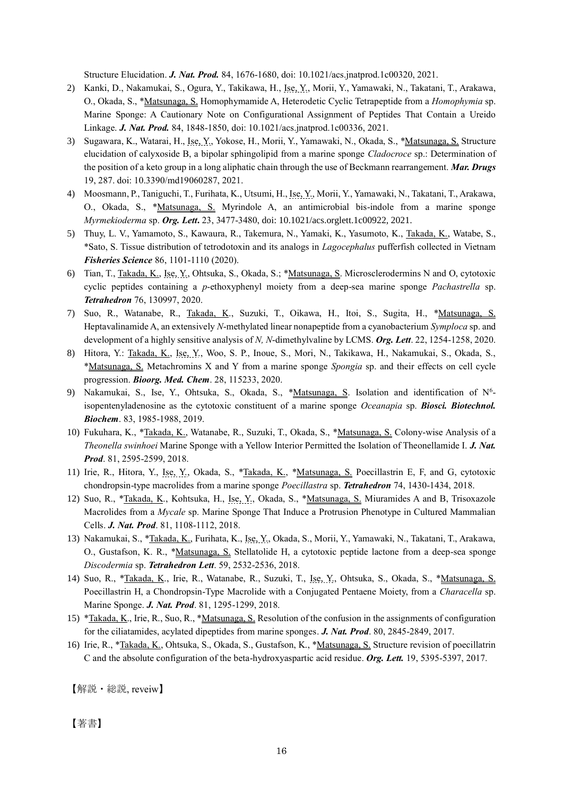Structure Elucidation. *J. Nat. Prod.* 84, 1676-1680, doi: 10.1021/acs.jnatprod.1c00320, 2021.

- 2) Kanki, D., Nakamukai, S., Ogura, Y., Takikawa, H., Ise, Y., Morii, Y., Yamawaki, N., Takatani, T., Arakawa, O., Okada, S., \*Matsunaga, S. Homophymamide A, Heterodetic Cyclic Tetrapeptide from a *Homophymia* sp. Marine Sponge: A Cautionary Note on Configurational Assignment of Peptides That Contain a Ureido Linkage. *J. Nat. Prod.* 84, 1848-1850, doi: 10.1021/acs.jnatprod.1c00336, 2021.
- 3) Sugawara, K., Watarai, H., Ise, Y., Yokose, H., Morii, Y., Yamawaki, N., Okada, S., \*Matsunaga, S. Structure elucidation of calyxoside B, a bipolar sphingolipid from a marine sponge *Cladocroce* sp.: Determination of the position of a keto group in a long aliphatic chain through the use of Beckmann rearrangement. *Mar. Drugs* 19, 287. doi: 10.3390/md19060287, 2021.
- 4) Moosmann, P., Taniguchi, T., Furihata, K., Utsumi, H., Ise, Y., Morii, Y., Yamawaki, N., Takatani, T., Arakawa, O., Okada, S., \*Matsunaga, S. Myrindole A, an antimicrobial bis-indole from a marine sponge *Myrmekioderma* sp. *Org. Lett***.** 23, 3477-3480, doi: 10.1021/acs.orglett.1c00922, 2021.
- 5) Thuy, L. V., Yamamoto, S., Kawaura, R., Takemura, N., Yamaki, K., Yasumoto, K., Takada, K., Watabe, S., \*Sato, S. Tissue distribution of tetrodotoxin and its analogs in *Lagocephalus* pufferfish collected in Vietnam *Fisheries Science* 86, 1101-1110 (2020).
- 6) Tian, T., Takada, K., Ise, Y., Ohtsuka, S., Okada, S.; \*Matsunaga, S. Microsclerodermins N and O, cytotoxic cyclic peptides containing a *p*-ethoxyphenyl moiety from a deep-sea marine sponge *Pachastrella* sp. *Tetrahedron* 76, 130997, 2020.
- 7) Suo, R., Watanabe, R., Takada, K., Suzuki, T., Oikawa, H., Itoi, S., Sugita, H., \*Matsunaga, S. Heptavalinamide A, an extensively *N*-methylated linear nonapeptide from a cyanobacterium *Symploca* sp. and development of a highly sensitive analysis of *N, N*-dimethylvaline by LCMS. *Org. Lett*. 22, 1254-1258, 2020.
- 8) Hitora, Y.: Takada, K., Ise, Y., Woo, S. P., Inoue, S., Mori, N., Takikawa, H., Nakamukai, S., Okada, S., \*Matsunaga, S. Metachromins X and Y from a marine sponge *Spongia* sp. and their effects on cell cycle progression. *Bioorg. Med. Chem*. 28, 115233, 2020.
- 9) Nakamukai, S., Ise, Y., Ohtsuka, S., Okada, S., \*Matsunaga, S. Isolation and identification of N<sup>6</sup>isopentenyladenosine as the cytotoxic constituent of a marine sponge *Oceanapia* sp. *Biosci. Biotechnol. Biochem*. 83, 1985-1988, 2019.
- 10) Fukuhara, K., \*Takada, K., Watanabe, R., Suzuki, T., Okada, S., \*Matsunaga, S. Colony-wise Analysis of a *Theonella swinhoei* Marine Sponge with a Yellow Interior Permitted the Isolation of Theonellamide I. *J. Nat. Prod*. 81, 2595-2599, 2018.
- 11) Irie, R., Hitora, Y., Ise, Y., Okada, S., \*Takada, K., \*Matsunaga, S. Poecillastrin E, F, and G, cytotoxic chondropsin-type macrolides from a marine sponge *Poecillastra* sp. *Tetrahedron* 74, 1430-1434, 2018.
- 12) Suo, R., \*Takada, K., Kohtsuka, H., Ise, Y., Okada, S., \*Matsunaga, S. Miuramides A and B, Trisoxazole Macrolides from a *Mycale* sp. Marine Sponge That Induce a Protrusion Phenotype in Cultured Mammalian Cells. *J. Nat. Prod*. 81, 1108-1112, 2018.
- 13) Nakamukai, S., \*Takada, K., Furihata, K., Ise, Y., Okada, S., Morii, Y., Yamawaki, N., Takatani, T., Arakawa, O., Gustafson, K. R., \*Matsunaga, S. Stellatolide H, a cytotoxic peptide lactone from a deep-sea sponge *Discodermia* sp. *Tetrahedron Lett*. 59, 2532-2536, 2018.
- 14) Suo, R., \*Takada, K., Irie, R., Watanabe, R., Suzuki, T., Ise, Y., Ohtsuka, S., Okada, S., \*Matsunaga, S. Poecillastrin H, a Chondropsin-Type Macrolide with a Conjugated Pentaene Moiety, from a *Characella* sp. Marine Sponge. *J. Nat. Prod*. 81, 1295-1299, 2018.
- 15) \*Takada, K., Irie, R., Suo, R., \*Matsunaga, S. Resolution of the confusion in the assignments of configuration for the ciliatamides, acylated dipeptides from marine sponges. *J. Nat. Prod*. 80, 2845-2849, 2017.
- 16) Irie, R., \*Takada, K., Ohtsuka, S., Okada, S., Gustafson, K., \*Matsunaga, S. Structure revision of poecillatrin C and the absolute configuration of the beta-hydroxyaspartic acid residue. *Org. Lett.* 19, 5395-5397, 2017.

【解説・総説, reveiw】

【著書】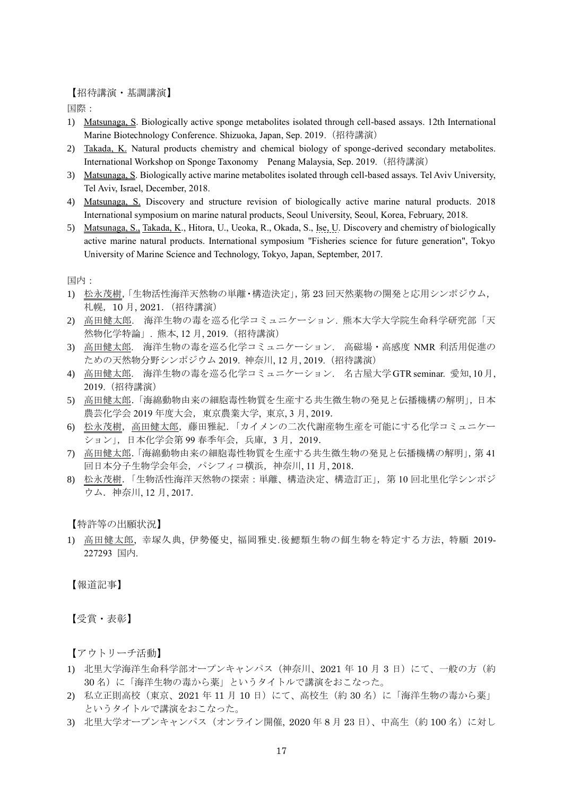【招待講演・基調講演】

国際:

- 1) Matsunaga, S. Biologically active sponge metabolites isolated through cell-based assays. 12th International Marine Biotechnology Conference. Shizuoka, Japan, Sep. 2019.(招待講演)
- 2) Takada, K. Natural products chemistry and chemical biology of sponge-derived secondary metabolites. International Workshop on Sponge Taxonomy Penang Malaysia, Sep. 2019.(招待講演)
- 3) Matsunaga, S. Biologically active marine metabolites isolated through cell-based assays. Tel Aviv University, Tel Aviv, Israel, December, 2018.
- 4) Matsunaga, S. Discovery and structure revision of biologically active marine natural products. 2018 International symposium on marine natural products, Seoul University, Seoul, Korea, February, 2018.
- 5) Matsunaga, S., Takada, K., Hitora, U., Ueoka, R., Okada, S., Ise, U. Discovery and chemistry of biologically active marine natural products. International symposium "Fisheries science for future generation", Tokyo University of Marine Science and Technology, Tokyo, Japan, September, 2017.

国内:

- 1) 松永茂樹,「生物活性海洋天然物の単離・構造決定」,第 23 回天然薬物の開発と応用シンポジウム, 札幌,10 月, 2021.(招待講演)
- 2) 高田健太郎. 海洋生物の毒を巡る化学コミュニケーション. 熊本大学大学院生命科学研究部「天 然物化学特論」. 熊本, 12 月, 2019.(招待講演)
- 3) 高田健太郎. 海洋生物の毒を巡る化学コミュニケーション. 高磁場・高感度 NMR 利活用促進の ための天然物分野シンポジウム 2019. 神奈川, 12 月, 2019.(招待講演)
- 4) 高田健太郎. 海洋生物の毒を巡る化学コミュニケーション. 名古屋大学GTR seminar. 愛知, 10月, 2019.(招待講演)
- 5) 高田健太郎.「海綿動物由来の細胞毒性物質を生産する共生微生物の発見と伝播機構の解明」,日本 農芸化学会 2019 年度大会,東京農業大学, 東京, 3 月, 2019.
- 6) 松永茂樹,高田健太郎,藤田雅紀.「カイメンの二次代謝産物生産を可能にする化学コミュニケー ション」,日本化学会第 99 春季年会,兵庫,3 月,2019.
- 7) 高田健太郎.「海綿動物由来の細胞毒性物質を生産する共生微生物の発見と伝播機構の解明」,第 41 回日本分子生物学会年会,パシフィコ横浜,神奈川, 11 月, 2018.
- 8) 松永茂樹.「生物活性海洋天然物の探索:単離、構造決定、構造訂正」,第 10 回北里化学シンポジ ウム.神奈川, 12 月, 2017.

【特許等の出願状況】

1) 高田健太郎, 幸塚久典, 伊勢優史, 福岡雅史.後鰓類生物の餌生物を特定する方法, 特願 2019- 227293 国内.

【報道記事】

【受賞・表彰】

【アウトリーチ活動】

- 1) 北里大学海洋生命科学部オープンキャンパス (神奈川、2021年10月3日)にて、一般の方(約 30名)に「海洋生物の毒から薬」というタイトルで講演をおこなった。
- 2) 私立正則高校(東京、2021年11月10日)にて、高校生(約30名)に「海洋生物の毒から薬」 というタイトルで講演をおこなった。
- 3) 北里大学オープンキャンパス (オンライン開催, 2020年8月23日)、中高生(約100名)に対し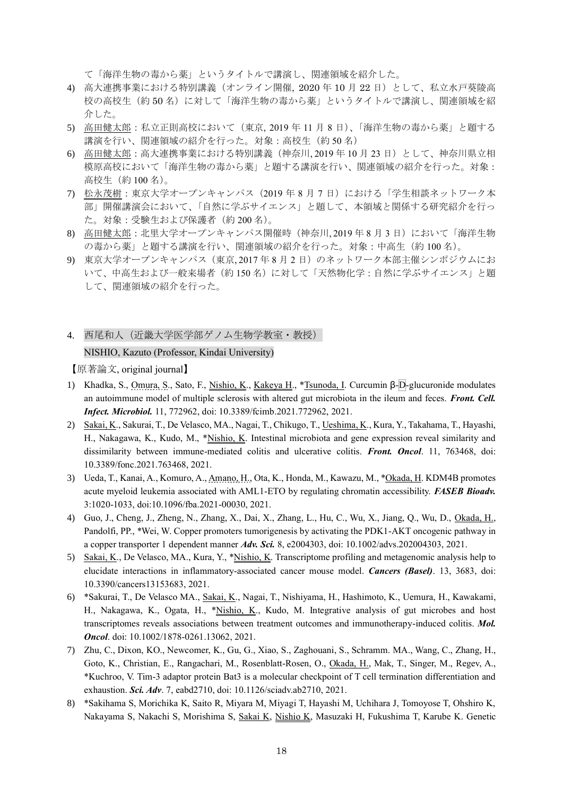て「海洋生物の毒から薬」というタイトルで講演し、関連領域を紹介した。

- 4) 高大連携事業における特別講義(オンライン開催, 2020 年 10 月 22 日)として、私立水戸葵陵高 校の高校生(約 50 名)に対して「海洋生物の毒から薬」というタイトルで講演し、関連領域を紹 介した。
- 5) 高田健太郎:私立正則高校において(東京, 2019 年 11 月 8 日)、「海洋生物の毒から薬」と題する 講演を行い、関連領域の紹介を行った。対象:高校生(約 50 名)
- 6) 高田健太郎:高大連携事業における特別講義(神奈川, 2019 年 10 月 23 日)として、神奈川県立相 模原高校において「海洋生物の毒から薬」と題する講演を行い、関連領域の紹介を行った。対象: 高校生(約 100 名)。
- 7) 松永茂樹:東京大学オープンキャンパス(2019 年 8 月 7 日)における「学生相談ネットワーク本 部」開催講演会において、「自然に学ぶサイエンス」と題して、本領域と関係する研究紹介を行っ た。対象:受験生および保護者(約 200 名)。
- 8) 高田健太郎:北里大学オープンキャンパス開催時(神奈川, 2019 年 8 月 3 日)において「海洋生物 の毒から薬」と題する講演を行い、関連領域の紹介を行った。対象:中高生(約 100 名)。
- 9) 東京大学オープンキャンパス(東京, 2017 年 8 月 2 日)のネットワーク本部主催シンポジウムにお いて、中高生および一般来場者(約150名)に対して「天然物化学:自然に学ぶサイエンス」と題 して、関連領域の紹介を行った。
- 4. 西尾和人(近畿大学医学部ゲノム生物学教室・教授)

## NISHIO, Kazuto (Professor, Kindai University)

【原著論文, original journal】

- 1) Khadka, S., Omura, S., Sato, F., Nishio, K., Kakeya H., \*Tsunoda, I. Curcumin β-D-glucuronide modulates an autoimmune model of multiple sclerosis with altered gut microbiota in the ileum and feces. *Front. Cell. Infect. Microbiol.* 11, 772962, doi: 10.3389/fcimb.2021.772962, 2021.
- 2) Sakai, K., Sakurai, T., De Velasco, MA., Nagai, T., Chikugo, T., Ueshima, K., Kura, Y., Takahama, T., Hayashi, H., Nakagawa, K., Kudo, M., \*Nishio, K. Intestinal microbiota and gene expression reveal similarity and dissimilarity between immune-mediated colitis and ulcerative colitis. *Front. Oncol*. 11, 763468, doi: 10.3389/fonc.2021.763468, 2021.
- 3) Ueda, T., Kanai, A., Komuro, A., Amano, H., Ota, K., Honda, M., Kawazu, M., \*Okada, H. KDM4B promotes acute myeloid leukemia associated with AML1-ETO by regulating chromatin accessibility. *FASEB Bioadv.* 3:1020-1033, doi:10.1096/fba.2021-00030, 2021.
- 4) Guo, J., Cheng, J., Zheng, N., Zhang, X., Dai, X., Zhang, L., Hu, C., Wu, X., Jiang, Q., Wu, D., Okada, H., Pandolfi, PP., \*Wei, W. Copper promoters tumorigenesis by activating the PDK1-AKT oncogenic pathway in a copper transporter 1 dependent manner *Adv. Sci.* 8, e2004303, doi: 10.1002/advs.202004303, 2021.
- 5) Sakai, K., De Velasco, MA., Kura, Y., \*Nishio, K. Transcriptome profiling and metagenomic analysis help to elucidate interactions in inflammatory-associated cancer mouse model. *Cancers (Basel)*. 13, 3683, doi: 10.3390/cancers13153683, 2021.
- 6) \*Sakurai, T., De Velasco MA., Sakai, K., Nagai, T., Nishiyama, H., Hashimoto, K., Uemura, H., Kawakami, H., Nakagawa, K., Ogata, H., \*Nishio, K., Kudo, M. Integrative analysis of gut microbes and host transcriptomes reveals associations between treatment outcomes and immunotherapy-induced colitis. *Mol. Oncol*. doi: 10.1002/1878-0261.13062, 2021.
- 7) Zhu, C., Dixon, KO., Newcomer, K., Gu, G., Xiao, S., Zaghouani, S., Schramm. MA., Wang, C., Zhang, H., Goto, K., Christian, E., Rangachari, M., Rosenblatt-Rosen, O., Okada, H., Mak, T., Singer, M., Regev, A., \*Kuchroo, V. Tim-3 adaptor protein Bat3 is a molecular checkpoint of T cell termination differentiation and exhaustion. *Sci. Adv*. 7, eabd2710, doi: 10.1126/sciadv.ab2710, 2021.
- 8) \*Sakihama S, Morichika K, Saito R, Miyara M, Miyagi T, Hayashi M, Uchihara J, Tomoyose T, Ohshiro K, Nakayama S, Nakachi S, Morishima S, Sakai K, Nishio K, Masuzaki H, Fukushima T, Karube K. Genetic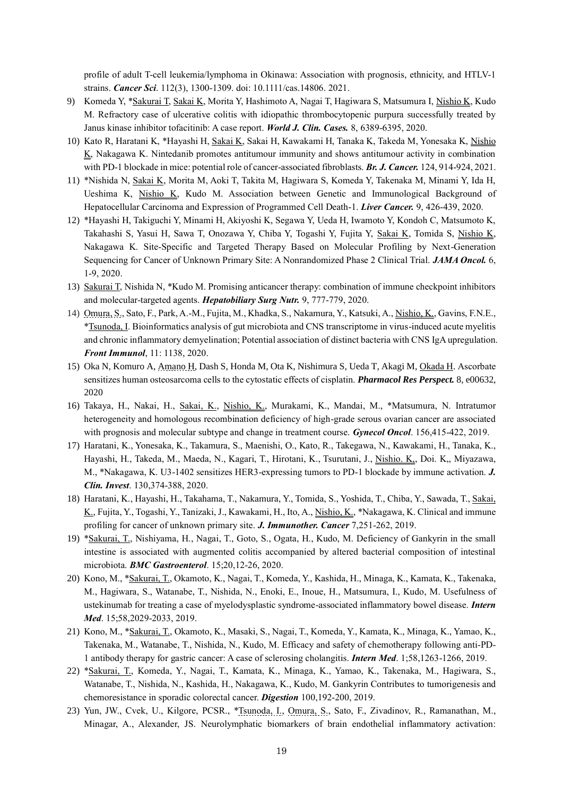profile of adult T-cell leukemia/lymphoma in Okinawa: Association with prognosis, ethnicity, and HTLV-1 strains. *Cancer Sci*. 112(3), 1300-1309. doi: 10.1111/cas.14806. 2021.

- 9) Komeda Y, \*Sakurai T, Sakai K, Morita Y, Hashimoto A, Nagai T, Hagiwara S, Matsumura I, Nishio K, Kudo M. Refractory case of ulcerative colitis with idiopathic thrombocytopenic purpura successfully treated by Janus kinase inhibitor tofacitinib: A case report. *World J. Clin. Cases.* 8, 6389-6395, 2020.
- 10) Kato R, Haratani K, \*Hayashi H, Sakai K, Sakai H, Kawakami H, Tanaka K, Takeda M, Yonesaka K, Nishio K, Nakagawa K. Nintedanib promotes antitumour immunity and shows antitumour activity in combination with PD-1 blockade in mice: potential role of cancer-associated fibroblasts. *Br. J. Cancer.* 124, 914-924, 2021.
- 11) \*Nishida N, Sakai K, Morita M, Aoki T, Takita M, Hagiwara S, Komeda Y, Takenaka M, Minami Y, Ida H, Ueshima K, Nishio K, Kudo M. Association between Genetic and Immunological Background of Hepatocellular Carcinoma and Expression of Programmed Cell Death-1. *Liver Cancer.* 9, 426-439, 2020.
- 12) \*Hayashi H, Takiguchi Y, Minami H, Akiyoshi K, Segawa Y, Ueda H, Iwamoto Y, Kondoh C, Matsumoto K, Takahashi S, Yasui H, Sawa T, Onozawa Y, Chiba Y, Togashi Y, Fujita Y, Sakai K, Tomida S, Nishio K, Nakagawa K. Site-Specific and Targeted Therapy Based on Molecular Profiling by Next-Generation Sequencing for Cancer of Unknown Primary Site: A Nonrandomized Phase 2 Clinical Trial. *JAMA Oncol.* 6, 1-9, 2020.
- 13) Sakurai T, Nishida N, \*Kudo M. Promising anticancer therapy: combination of immune checkpoint inhibitors and molecular-targeted agents. *Hepatobiliary Surg Nutr.* 9, 777-779, 2020.
- 14) Omura, S., Sato, F., Park, A.-M., Fujita, M., Khadka, S., Nakamura, Y., Katsuki, A., Nishio, K., Gavins, F.N.E., \*Tsunoda, I. Bioinformatics analysis of gut microbiota and CNS transcriptome in virus-induced acute myelitis and chronic inflammatory demyelination; Potential association of distinct bacteria with CNS IgA upregulation. *Front Immunol*, 11: 1138, 2020.
- 15) Oka N, Komuro A, Amano H, Dash S, Honda M, Ota K, Nishimura S, Ueda T, Akagi M, Okada H. Ascorbate sensitizes human osteosarcoma cells to the cytostatic effects of cisplatin. *Pharmacol Res Perspect.* 8, e00632, 2020
- 16) Takaya, H., Nakai, H., Sakai, K., Nishio, K., Murakami, K., Mandai, M., \*Matsumura, N. Intratumor heterogeneity and homologous recombination deficiency of high-grade serous ovarian cancer are associated with prognosis and molecular subtype and change in treatment course. *Gynecol Oncol*. 156,415-422, 2019.
- 17) Haratani, K., Yonesaka, K., Takamura, S., Maenishi, O., Kato, R., Takegawa, N., Kawakami, H., Tanaka, K., Hayashi, H., Takeda, M., Maeda, N., Kagari, T., Hirotani, K., Tsurutani, J., Nishio. K,, Doi. K,, Miyazawa, M., \*Nakagawa, K. U3-1402 sensitizes HER3-expressing tumors to PD-1 blockade by immune activation. *J. Clin. Invest*. 130,374-388, 2020.
- 18) Haratani, K., Hayashi, H., Takahama, T., Nakamura, Y., Tomida, S., Yoshida, T., Chiba, Y., Sawada, T., Sakai, K., Fujita, Y., Togashi, Y., Tanizaki, J., Kawakami, H., Ito, A., Nishio, K., \*Nakagawa, K. Clinical and immune profiling for cancer of unknown primary site. *J. Immunother. Cancer* 7,251-262, 2019.
- 19) \*Sakurai, T., Nishiyama, H., Nagai, T., Goto, S., Ogata, H., Kudo, M. Deficiency of Gankyrin in the small intestine is associated with augmented colitis accompanied by altered bacterial composition of intestinal microbiota. *BMC Gastroenterol*. 15;20,12-26, 2020.
- 20) Kono, M., \*Sakurai, T., Okamoto, K., Nagai, T., Komeda, Y., Kashida, H., Minaga, K., Kamata, K., Takenaka, M., Hagiwara, S., Watanabe, T., Nishida, N., Enoki, E., Inoue, H., Matsumura, I., Kudo, M. Usefulness of ustekinumab for treating a case of myelodysplastic syndrome-associated inflammatory bowel disease. *Intern Med*. 15;58,2029-2033, 2019.
- 21) Kono, M., \*Sakurai, T., Okamoto, K., Masaki, S., Nagai, T., Komeda, Y., Kamata, K., Minaga, K., Yamao, K., Takenaka, M., Watanabe, T., Nishida, N., Kudo, M. Efficacy and safety of chemotherapy following anti-PD-1 antibody therapy for gastric cancer: A case of sclerosing cholangitis. *Intern Med*. 1;58,1263-1266, 2019.
- 22) \*Sakurai, T., Komeda, Y., Nagai, T., Kamata, K., Minaga, K., Yamao, K., Takenaka, M., Hagiwara, S., Watanabe, T., Nishida, N., Kashida, H., Nakagawa, K., Kudo, M. Gankyrin Contributes to tumorigenesis and chemoresistance in sporadic colorectal cancer. *Digestion* 100,192-200, 2019.
- 23) Yun, JW., Cvek, U., Kilgore, PCSR., \*Tsunoda, I., Omura, S., Sato, F., Zivadinov, R., Ramanathan, M., Minagar, A., Alexander, JS. Neurolymphatic biomarkers of brain endothelial inflammatory activation: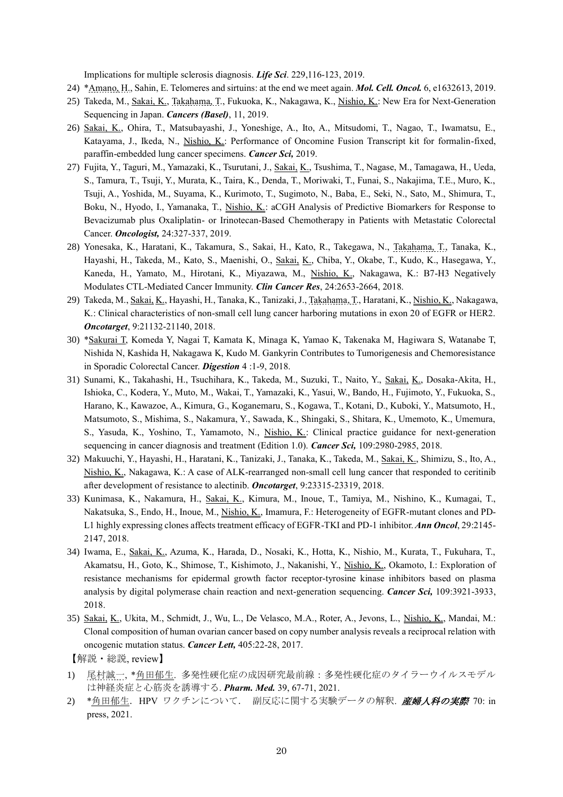Implications for multiple sclerosis diagnosis. *Life Sci*. 229,116-123, 2019.

- 24) \*Amano, H., Sahin, E. Telomeres and sirtuins: at the end we meet again. *Mol. Cell. Oncol.* 6, e1632613, 2019.
- 25) Takeda, M., Sakai, K., Takahama, T., Fukuoka, K., Nakagawa, K., Nishio, K.: New Era for Next-Generation Sequencing in Japan. *Cancers (Basel)*, 11, 2019.
- 26) Sakai, K., Ohira, T., Matsubayashi, J., Yoneshige, A., Ito, A., Mitsudomi, T., Nagao, T., Iwamatsu, E., Katayama, J., Ikeda, N., Nishio, K.: Performance of Oncomine Fusion Transcript kit for formalin-fixed, paraffin-embedded lung cancer specimens. *Cancer Sci,* 2019.
- 27) Fujita, Y., Taguri, M., Yamazaki, K., Tsurutani, J., Sakai, K., Tsushima, T., Nagase, M., Tamagawa, H., Ueda, S., Tamura, T., Tsuji, Y., Murata, K., Taira, K., Denda, T., Moriwaki, T., Funai, S., Nakajima, T.E., Muro, K., Tsuji, A., Yoshida, M., Suyama, K., Kurimoto, T., Sugimoto, N., Baba, E., Seki, N., Sato, M., Shimura, T., Boku, N., Hyodo, I., Yamanaka, T., Nishio, K.: aCGH Analysis of Predictive Biomarkers for Response to Bevacizumab plus Oxaliplatin- or Irinotecan-Based Chemotherapy in Patients with Metastatic Colorectal Cancer. *Oncologist,* 24:327-337, 2019.
- 28) Yonesaka, K., Haratani, K., Takamura, S., Sakai, H., Kato, R., Takegawa, N., Takahama, T., Tanaka, K., Hayashi, H., Takeda, M., Kato, S., Maenishi, O., Sakai, K., Chiba, Y., Okabe, T., Kudo, K., Hasegawa, Y., Kaneda, H., Yamato, M., Hirotani, K., Miyazawa, M., Nishio, K., Nakagawa, K.: B7-H3 Negatively Modulates CTL-Mediated Cancer Immunity. *Clin Cancer Res*, 24:2653-2664, 2018.
- 29) Takeda, M., Sakai, K., Hayashi, H., Tanaka, K., Tanizaki, J., Takahama, T., Haratani, K., Nishio, K., Nakagawa, K.: Clinical characteristics of non-small cell lung cancer harboring mutations in exon 20 of EGFR or HER2. *Oncotarget*, 9:21132-21140, 2018.
- 30) \*Sakurai T, Komeda Y, Nagai T, Kamata K, Minaga K, Yamao K, Takenaka M, Hagiwara S, Watanabe T, Nishida N, Kashida H, Nakagawa K, Kudo M. Gankyrin Contributes to Tumorigenesis and Chemoresistance in Sporadic Colorectal Cancer. *Digestion* 4 :1-9, 2018.
- 31) Sunami, K., Takahashi, H., Tsuchihara, K., Takeda, M., Suzuki, T., Naito, Y., Sakai, K., Dosaka-Akita, H., Ishioka, C., Kodera, Y., Muto, M., Wakai, T., Yamazaki, K., Yasui, W., Bando, H., Fujimoto, Y., Fukuoka, S., Harano, K., Kawazoe, A., Kimura, G., Koganemaru, S., Kogawa, T., Kotani, D., Kuboki, Y., Matsumoto, H., Matsumoto, S., Mishima, S., Nakamura, Y., Sawada, K., Shingaki, S., Shitara, K., Umemoto, K., Umemura, S., Yasuda, K., Yoshino, T., Yamamoto, N., Nishio, K.: Clinical practice guidance for next-generation sequencing in cancer diagnosis and treatment (Edition 1.0). *Cancer Sci,* 109:2980-2985, 2018.
- 32) Makuuchi, Y., Hayashi, H., Haratani, K., Tanizaki, J., Tanaka, K., Takeda, M., Sakai, K., Shimizu, S., Ito, A., Nishio, K., Nakagawa, K.: A case of ALK-rearranged non-small cell lung cancer that responded to ceritinib after development of resistance to alectinib. *Oncotarget*, 9:23315-23319, 2018.
- 33) Kunimasa, K., Nakamura, H., Sakai, K., Kimura, M., Inoue, T., Tamiya, M., Nishino, K., Kumagai, T., Nakatsuka, S., Endo, H., Inoue, M., Nishio, K., Imamura, F.: Heterogeneity of EGFR-mutant clones and PD-L1 highly expressing clones affects treatment efficacy of EGFR-TKI and PD-1 inhibitor. *Ann Oncol*, 29:2145- 2147, 2018.
- 34) Iwama, E., Sakai, K., Azuma, K., Harada, D., Nosaki, K., Hotta, K., Nishio, M., Kurata, T., Fukuhara, T., Akamatsu, H., Goto, K., Shimose, T., Kishimoto, J., Nakanishi, Y., Nishio, K., Okamoto, I.: Exploration of resistance mechanisms for epidermal growth factor receptor-tyrosine kinase inhibitors based on plasma analysis by digital polymerase chain reaction and next-generation sequencing. *Cancer Sci,* 109:3921-3933, 2018.
- 35) Sakai, K., Ukita, M., Schmidt, J., Wu, L., De Velasco, M.A., Roter, A., Jevons, L., Nishio, K., Mandai, M.: Clonal composition of human ovarian cancer based on copy number analysis reveals a reciprocal relation with oncogenic mutation status. *Cancer Lett,* 405:22-28, 2017.
- 【解説・総説, review】
- 1) 尾村誠一, \*角田郁生. 多発性硬化症の成因研究最前線:多発性硬化症のタイラーウイルスモデル は神経炎症と心筋炎を誘導する. *Pharm. Med.* 39, 67-71, 2021.
- 2) \*角田郁生. HPV ワクチンについて. 副反応に関する実験データの解釈. *産婦人科の実際* 70: in press, 2021.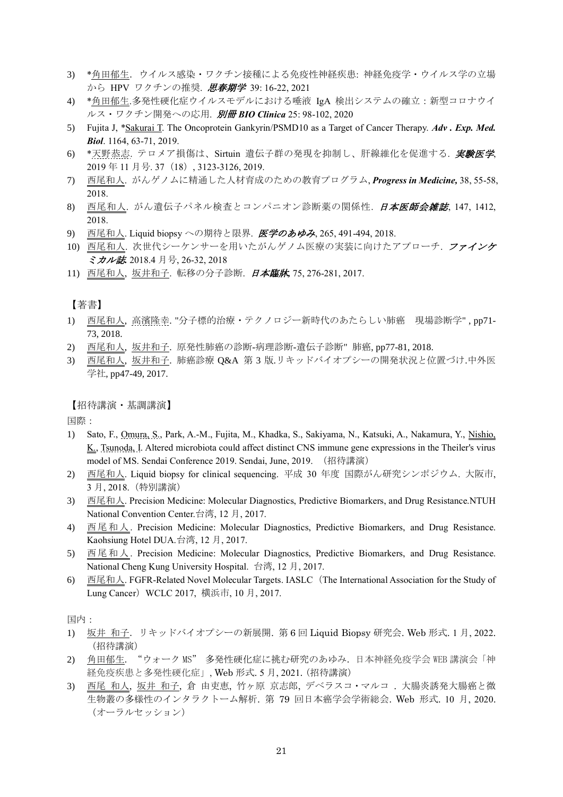- 3) \*角田郁生.ウイルス感染・ワクチン接種による免疫性神経疾患: 神経免疫学・ウイルス学の立場 から HPV ワクチンの推奨. 思春期学 39:16-22, 2021
- 4) \*角田郁生.多発性硬化症ウイルスモデルにおける唾液 IgA 検出システムの確立:新型コロナウイ ルス・ワクチン開発への応用. 別冊 *BIO Clinica* 25: 98-102, 2020
- 5) Fujita J, \*Sakurai T. The Oncoprotein Gankyrin/PSMD10 as a Target of Cancer Therapy. *Adv . Exp. Med. Biol*. 1164, 63-71, 2019.
- 6) \*天野恭志. テロメア損傷は、Sirtuin 遺伝子群の発現を抑制し、肝線維化を促進する. 実験医学, 2019 年 11 月号. 37(18), 3123-3126, 2019.
- 7) 西尾和人. がんゲノムに精通した人材育成のための教育プログラム, *Progress in Medicine,* 38, 55-58, 2018.
- 8) 西尾和人. がん遺伝子パネル検査とコンパニオン診断薬の関係性. 日本医師会雑誌, 147, 1412, 2018.
- 9) 西尾和人. Liquid biopsy への期待と限界. 医学のあゆみ, 265, 491-494, 2018.
- 10) 西尾和人. 次世代シーケンサーを用いたがんゲノム医療の実装に向けたアプローチ. ファインケ ミカル誌*.* 2018.4 月号, 26-32, 2018
- 11) 西尾和人, 坂井和子. 転移の分子診断. 日本臨牀*,* 75, 276-281, 2017.

【著書】

- 1) 西尾和人, 高濱隆幸. "分子標的治療・テクノロジー新時代のあたらしい肺癌 現場診断学" , pp71- 73, 2018.
- 2) 西尾和人, 坂井和子. 原発性肺癌の診断-病理診断-遺伝子診断" 肺癌, pp77-81, 2018.
- 3) 西尾和人, 坂井和子. 肺癌診療 Q&A 第 3 版.リキッドバイオプシーの開発状況と位置づけ.中外医 学社, pp47-49, 2017.

【招待講演・基調講演】

国際:

- 1) Sato, F., Omura, S., Park, A.-M., Fujita, M., Khadka, S., Sakiyama, N., Katsuki, A., Nakamura, Y., Nishio, K., Tsunoda, I. Altered microbiota could affect distinct CNS immune gene expressions in the Theiler's virus model of MS. Sendai Conference 2019. Sendai, June, 2019. (招待講演)
- 2) 西尾和人. Liquid biopsy for clinical sequencing. 平成 30 年度 国際がん研究シンポジウム. 大阪市, 3 月, 2018.(特別講演)
- 3) 西尾和人. Precision Medicine: Molecular Diagnostics, Predictive Biomarkers, and Drug Resistance.NTUH National Convention Center.台湾, 12 月, 2017.
- 4) 西尾和人. Precision Medicine: Molecular Diagnostics, Predictive Biomarkers, and Drug Resistance. Kaohsiung Hotel DUA.台湾, 12 月, 2017.
- 5) 西尾和人. Precision Medicine: Molecular Diagnostics, Predictive Biomarkers, and Drug Resistance. National Cheng Kung University Hospital. 台湾, 12 月, 2017.
- 6) 西尾和人. FGFR-Related Novel Molecular Targets. IASLC(The International Association for the Study of Lung Cancer) WCLC 2017, 横浜市, 10 月, 2017.

国内:

- 1) 坂井 和子.リキッドバイオプシーの新展開. 第 6 回 Liquid Biopsy 研究会. Web 形式. 1 月, 2022. (招待講演)
- 2) 角田郁生. "ウォーク MS" 多発性硬化症に挑む研究のあゆみ.日本神経免疫学会 WEB 講演会「神 経免疫疾患と多発性硬化症」, Web 形式. 5 月, 2021. (招待講演)
- 3) 西尾 和人, 坂井 和子, 倉 由吏恵, 竹ヶ原 京志郎, デベラスコ・マルコ. 大腸炎誘発大腸癌と微 生物叢の多様性のインタラクトーム解析. 第 79 回日本癌学会学術総会. Web 形式. 10 月, 2020. (オーラルセッション)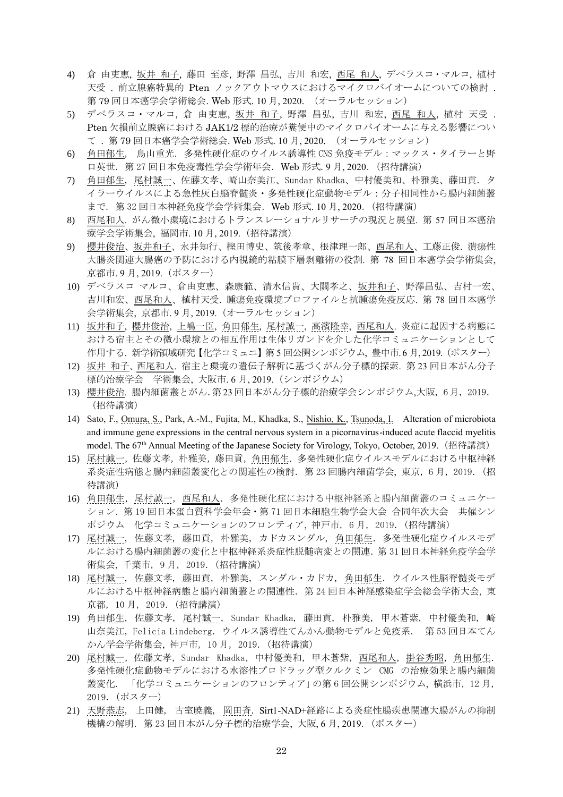- 4) 倉 由吏恵, 坂井 和子, 藤田 至彦, 野澤 昌弘, 吉川 和宏, 西尾 和人, デベラスコ・マルコ, 植村 天受 . 前立腺癌特異的 Pten ノックアウトマウスにおけるマイクロバイオームについての検討 . 第 79 回日本癌学会学術総会. Web 形式. 10 月, 2020. (オーラルセッション)
- 5) デベラスコ・マルコ, 倉 由吏恵, 坂井 和子, 野澤 昌弘, 吉川 和宏, 西尾 和人, 植村 天受 . Pten 欠損前立腺癌における JAK1/2 標的治療が糞便中のマイクロバイオームに与える影響につい て . 第 79 回日本癌学会学術総会. Web 形式. 10 月, 2020. (オーラルセッション)
- 6) 角田郁生, 鳥山重光.多発性硬化症のウイルス誘導性 CNS 免疫モデル:マックス・タイラーと野 口英世.第 27 回日本免疫毒性学会学術年会.Web 形式. 9 月, 2020.(招待講演)
- 7) 角田郁生, 尾村誠一、佐藤文孝、崎山奈美江、Sundar Khadka、中村優美和、朴雅美、藤田貢. タ イラーウイルスによる急性灰白脳脊髄炎・多発性硬化症動物モデル:分子相同性から腸内細菌叢 まで. 第 32 回日本神経免疫学会学術集会.Web 形式. 10 月, 2020.(招待講演)
- 8) 西尾和人. がん微小環境におけるトランスレーショナルリサーチの現況と展望. 第 57 回日本癌治 療学会学術集会, 福岡市. 10 月, 2019.(招待講演)
- 9) 櫻井俊治、坂井和子、永井知行、樫田博史、筑後孝章、根津理一郎、西尾和人、工藤正俊. 潰瘍性 大腸炎関連大腸癌の予防における内視鏡的粘膜下層剥離術の役割. 第 78 回日本癌学会学術集会, 京都市. 9 月, 2019.(ポスター)
- 10) デベラスコ マルコ、倉由吏恵、森康範、清水信貴、大關孝之、坂井和子、野澤昌弘、吉村一宏、 吉川和宏、西尾和人、植村天受. 腫瘍免疫環境プロファイルと抗腫瘍免疫反応. 第 78 回日本癌学 会学術集会, 京都市. 9 月, 2019.(オーラルセッション)
- 11) 坂井和子, 櫻井俊治, 上嶋一臣, 角田郁生, 尾村誠一, 高濱隆幸, 西尾和人. 炎症に起因する病態に おける宿主とその微小環境との相互作用は生体リガンドを介した化学コミュニケーションとして 作用する. 新学術領域研究【化学コミュニ】第5回公開シンポジウム, 豊中市.6月,2019. (ポスター)
- 12) 坂井 和子、西尾和人. 宿主と環境の遺伝子解析に基づくがん分子標的探索. 第 23 回日本がん分子 標的治療学会 学術集会, 大阪市. 6 月, 2019.(シンポジウム)
- 13) 櫻井俊治. 腸内細菌叢とがん.第 23 回日本がん分子標的治療学会シンポジウム,大阪, 6 月, 2019. (招待講演)
- 14) Sato, F., Omura, S., Park, A.-M., Fujita, M., Khadka, S., Nishio, K., Tsunoda, I. Alteration of microbiota and immune gene expressions in the central nervous system in a picornavirus-induced acute flaccid myelitis model. The 67<sup>th</sup> Annual Meeting of the Japanese Society for Virology, Tokyo, October, 2019. (招待講演)
- 15) 尾村誠一,佐藤文孝,朴雅美,藤田貢,角田郁生.多発性硬化症ウイルスモデルにおける中枢神経 系炎症性病態と腸内細菌叢変化との関連性の検討. 第 23 回腸内細菌学会, 東京, 6 月, 2019. (招 待講演)
- 16) 角田郁生, 尾村誠一, 西尾和人. 多発性硬化症における中枢神経系と腸内細菌叢のコミュニケー ション.第 19 回日本蛋白質科学会年会・第 71 回日本細胞生物学会大会 合同年次大会 共催シン ポジウム 化学コミュニケーションのフロンティア, 神戸市, 6月, 2019. (招待講演)
- 17) 尾村誠一, 佐藤文孝, 藤田貢, 朴雅美, カドカスンダル, 角田郁生. 多発性硬化症ウイルスモデ ルにおける腸内細菌叢の変化と中枢神経系炎症性脱髄病変との関連.第 31 回日本神経免疫学会学 術集会, 千葉市, 9 月, 2019.(招待講演)
- 18) 尾村誠一, 佐藤文孝, 藤田貢, 朴雅美, スンダル・カドカ, 角田郁生.ウイルス性脳脊髄炎モデ ルにおける中枢神経病態と腸内細菌叢との関連性.第 24 回日本神経感染症学会総会学術大会, 東 京都, 10 月, 2019.(招待講演)
- 19) 角田郁生, 佐藤文孝, 尾村誠一, Sundar Khadka, 藤田貢, 朴雅美, 甲木蒼紫, 中村優美和, 崎 山奈美江, Felicia Lindeberg.ウイルス誘導性てんかん動物モデルと免疫系. 第 53 回日本てん かん学会学術集会, 神戸市, 10 月, 2019.(招待講演)
- 20) 尾村誠一, 佐藤文孝, Sundar Khadka, 中村優美和, 甲木蒼紫, 西尾和人, 掛谷秀昭, 角田郁生. 多発性硬化症動物モデルにおける水溶性プロドラッグ型クルクミン CMG の治療効果と腸内細菌 叢変化. 「化学コミュニケーションのフロンティア」の第 6 回公開シンポジウム, 横浜市, 12 月, 2019.(ポスター)
- 21) 天野恭志, 上田健, 古室暁義, 岡田斉. Sirt1-NAD+経路による炎症性腸疾患関連大腸がんの抑制 機構の解明.第 23 回日本がん分子標的治療学会, 大阪, 6 月, 2019.(ポスター)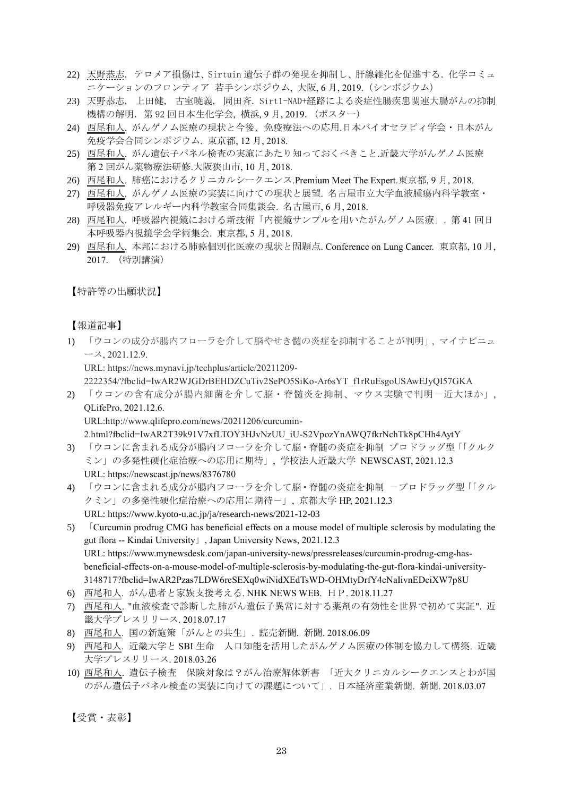- 22) 天野恭志. テロメア損傷は、Sirtuin 遺伝子群の発現を抑制し、肝線維化を促進する. 化学コミュ ニケーションのフロンティア 若手シンポジウム, 大阪, 6 月, 2019.(シンポジウム)
- 23) 天野恭志, 上田健, 古室暁義, 岡田斉. Sirt1-NAD+経路による炎症性腸疾患関連大腸がんの抑制 機構の解明. 第 92 回日本生化学会,横浜, 9 月, 2019. (ポスター)
- 24) 西尾和人. がんゲノム医療の現状と今後、免疫療法への応用.日本バイオセラピィ学会・日本がん 免疫学会合同シンポジウム. 東京都, 12 月, 2018.
- 25) 西尾和人. がん遺伝子パネル検査の実施にあたり知っておくべきこと.近畿大学がんゲノム医療 第 2 回がん薬物療法研修.大阪狭山市, 10 月, 2018.
- 26) 西尾和人. 肺癌におけるクリニカルシークエンス.Premium Meet The Expert.東京都, 9月, 2018.
- 27) 西尾和人. がんゲノム医療の実装に向けての現状と展望. 名古屋市立大学血液腫瘍内科学教室・ 呼吸器免疫アレルギー内科学教室合同集談会. 名古屋市, 6 月, 2018.
- 28) 西尾和人. 呼吸器内視鏡における新技術「内視鏡サンプルを用いたがんゲノム医療」. 第 41 回日 本呼吸器内視鏡学会学術集会. 東京都, 5 月, 2018.
- 29) 西尾和人. 本邦における肺癌個別化医療の現状と問題点. Conference on Lung Cancer. 東京都, 10 月, 2017. (特別講演)

【特許等の出願状況】

【報道記事】

1) 「ウコンの成分が腸内フローラを介して脳やせき髄の炎症を抑制することが判明」, マイナビニュ ース, 2021.12.9.

URL: https://news.mynavi.jp/techplus/article/20211209-

2222354/?fbclid=IwAR2WJGDrBEHDZCuTiv2SePO5SiKo-Ar6sYT\_f1rRuEsgoUSAwEJyQI57GKA

2) 「ウコンの含有成分が腸内細菌を介して脳・脊髄炎を抑制、マウス実験で判明-近大ほか」, QLifePro, 2021.12.6.

URL:http://www.qlifepro.com/news/20211206/curcumin-

2.html?fbclid=IwAR2T39k91V7xfLTOY3HJvNzUU\_iU-S2VpozYnAWQ7fkrNchTk8pCHh4AytY

- 3) 「ウコンに含まれる成分が腸内フローラを介して脳・脊髄の炎症を抑制 プロドラッグ型「「クルク ミン」の多発性硬化症治療への応用に期待」, 学校法人近畿大学 NEWSCAST, 2021.12.3 URL: https://newscast.jp/news/8376780
- 4) 「ウコンに含まれる成分が腸内フローラを介して脳・脊髄の炎症を抑制 ープロドラッグ型「「クル クミン」の多発性硬化症治療への応用に期待-」, 京都大学 HP, 2021.12.3 URL: https://www.kyoto-u.ac.jp/ja/research-news/2021-12-03
- 5) 「Curcumin prodrug CMG has beneficial effects on a mouse model of multiple sclerosis by modulating the gut flora -- Kindai University」, Japan University News, 2021.12.3 URL: https://www.mynewsdesk.com/japan-university-news/pressreleases/curcumin-prodrug-cmg-hasbeneficial-effects-on-a-mouse-model-of-multiple-sclerosis-by-modulating-the-gut-flora-kindai-university-3148717?fbclid=IwAR2Pzas7LDW6reSEXq0wiNidXEdTsWD-OHMtyDrfY4eNaIivnEDciXW7p8U
- 6) 西尾和人. がん患者と家族支援考える. NHK NEWS WEB. HP. 2018.11.27
- 7) 西尾和人. "血液検査で診断した肺がん遺伝子異常に対する薬剤の有効性を世界で初めて実証". 近 畿大学プレスリリース. 2018.07.17
- 8) 西尾和人. 国の新施策「がんとの共生」. 読売新聞. 新聞. 2018.06.09
- 9) 西尾和人. 近畿大学と SBI 生命 人口知能を活用したがんゲノム医療の体制を協力して構築. 近畿 大学プレスリリース. 2018.03.26
- 10) 西尾和人. 遺伝子検査 保険対象は?がん治療解体新書 「近大クリニカルシークエンスとわが国 のがん遺伝子パネル検査の実装に向けての課題について」. 日本経済産業新聞. 新聞. 2018.03.07

【受賞・表彰】